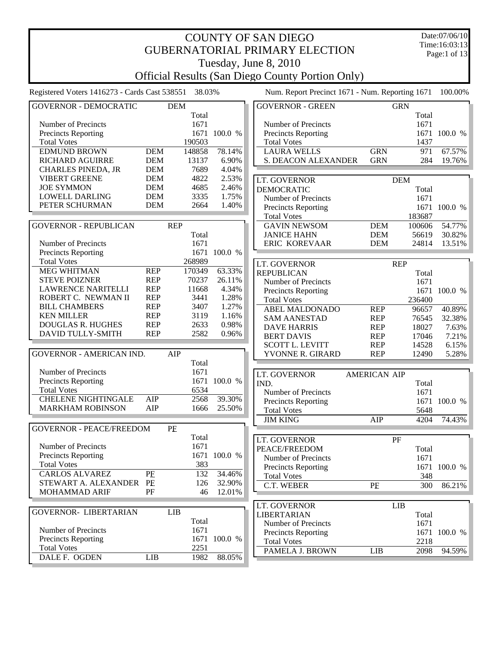|                                                         |            |        |              |  | <b>COUNTY OF SAN DIEGO</b>                      |                     |            |        | Date:07/06/10 |  |
|---------------------------------------------------------|------------|--------|--------------|--|-------------------------------------------------|---------------------|------------|--------|---------------|--|
|                                                         |            |        |              |  | <b>GUBERNATORIAL PRIMARY ELECTION</b>           |                     |            |        | Time:16:03:13 |  |
|                                                         |            |        |              |  |                                                 |                     |            |        | Page:1 of 13  |  |
|                                                         |            |        |              |  | Tuesday, June 8, 2010                           |                     |            |        |               |  |
| <b>Official Results (San Diego County Portion Only)</b> |            |        |              |  |                                                 |                     |            |        |               |  |
| Registered Voters 1416273 - Cards Cast 538551           |            | 38.03% |              |  | Num. Report Precinct 1671 - Num. Reporting 1671 |                     |            |        | 100.00%       |  |
| <b>GOVERNOR - DEMOCRATIC</b>                            | <b>DEM</b> |        |              |  | <b>GOVERNOR - GREEN</b>                         |                     | <b>GRN</b> |        |               |  |
|                                                         |            | Total  |              |  |                                                 |                     |            | Total  |               |  |
| Number of Precincts                                     |            | 1671   |              |  | Number of Precincts                             |                     |            | 1671   |               |  |
| Precincts Reporting                                     |            |        | 1671 100.0 % |  | <b>Precincts Reporting</b>                      |                     |            |        | 1671 100.0 %  |  |
| <b>Total Votes</b>                                      |            | 190503 |              |  | <b>Total Votes</b>                              |                     |            | 1437   |               |  |
| <b>EDMUND BROWN</b>                                     | <b>DEM</b> | 148858 | 78.14%       |  | <b>LAURA WELLS</b>                              | <b>GRN</b>          |            | 971    | 67.57%        |  |
| <b>RICHARD AGUIRRE</b>                                  | <b>DEM</b> | 13137  | 6.90%        |  | S. DEACON ALEXANDER                             | <b>GRN</b>          |            | 284    | 19.76%        |  |
| <b>CHARLES PINEDA, JR</b>                               | <b>DEM</b> | 7689   | 4.04%        |  |                                                 |                     |            |        |               |  |
| <b>VIBERT GREENE</b>                                    | <b>DEM</b> | 4822   | 2.53%        |  | LT. GOVERNOR                                    |                     | <b>DEM</b> |        |               |  |
| <b>JOE SYMMON</b>                                       | <b>DEM</b> | 4685   | 2.46%        |  | <b>DEMOCRATIC</b>                               |                     |            | Total  |               |  |
| <b>LOWELL DARLING</b>                                   | <b>DEM</b> | 3335   | 1.75%        |  | Number of Precincts                             |                     |            | 1671   |               |  |
| PETER SCHURMAN                                          | <b>DEM</b> | 2664   | 1.40%        |  | <b>Precincts Reporting</b>                      |                     |            |        | 1671 100.0 %  |  |
|                                                         |            |        |              |  | <b>Total Votes</b>                              |                     |            | 183687 |               |  |
| <b>GOVERNOR - REPUBLICAN</b>                            | <b>REP</b> |        |              |  | <b>GAVIN NEWSOM</b>                             | <b>DEM</b>          |            | 100606 | 54.77%        |  |
|                                                         |            | Total  |              |  | <b>JANICE HAHN</b>                              | <b>DEM</b>          |            | 56619  | 30.82%        |  |
| Number of Precincts                                     |            | 1671   |              |  | ERIC KOREVAAR                                   | <b>DEM</b>          |            | 24814  | 13.51%        |  |
| Precincts Reporting                                     |            | 1671   | 100.0 %      |  |                                                 |                     |            |        |               |  |
| <b>Total Votes</b>                                      |            | 268989 |              |  | LT. GOVERNOR                                    |                     | <b>REP</b> |        |               |  |
| <b>MEG WHITMAN</b>                                      | <b>REP</b> | 170349 | 63.33%       |  | <b>REPUBLICAN</b>                               |                     |            | Total  |               |  |
| <b>STEVE POIZNER</b>                                    | <b>REP</b> | 70237  | 26.11%       |  | Number of Precincts                             |                     |            | 1671   |               |  |
| <b>LAWRENCE NARITELLI</b>                               | <b>REP</b> | 11668  | 4.34%        |  | Precincts Reporting                             |                     |            |        | 1671 100.0 %  |  |
| ROBERT C. NEWMAN II                                     | <b>REP</b> | 3441   | 1.28%        |  | <b>Total Votes</b>                              |                     |            | 236400 |               |  |
| <b>BILL CHAMBERS</b>                                    | <b>REP</b> | 3407   | 1.27%        |  | <b>ABEL MALDONADO</b>                           | <b>REP</b>          |            | 96657  | 40.89%        |  |
| <b>KEN MILLER</b>                                       | <b>REP</b> | 3119   | 1.16%        |  | <b>SAM AANESTAD</b>                             | <b>REP</b>          |            | 76545  | 32.38%        |  |
| <b>DOUGLAS R. HUGHES</b>                                | <b>REP</b> | 2633   | 0.98%        |  | <b>DAVE HARRIS</b>                              | <b>REP</b>          |            | 18027  | 7.63%         |  |
| DAVID TULLY-SMITH                                       | <b>REP</b> | 2582   | 0.96%        |  | <b>BERT DAVIS</b>                               | <b>REP</b>          |            | 17046  | 7.21%         |  |
|                                                         |            |        |              |  | <b>SCOTT L. LEVITT</b>                          | <b>REP</b>          |            | 14528  | 6.15%         |  |
| <b>GOVERNOR - AMERICAN IND.</b>                         | AIP        |        |              |  | YVONNE R. GIRARD                                | <b>REP</b>          |            | 12490  | 5.28%         |  |
|                                                         |            | Total  |              |  |                                                 |                     |            |        |               |  |
| Number of Precincts                                     |            | 1671   |              |  | LT. GOVERNOR                                    | <b>AMERICAN AIP</b> |            |        |               |  |
| <b>Precincts Reporting</b>                              |            |        | 1671 100.0 % |  | <b>IND</b>                                      |                     |            | Total  |               |  |
| <b>Total Votes</b>                                      |            | 6534   |              |  | Number of Precincts                             |                     |            | 1671   |               |  |
| <b>CHELENE NIGHTINGALE</b>                              | AIP        | 2568   | 39.30%       |  | <b>Precincts Reporting</b>                      |                     |            |        | 1671 100.0 %  |  |
| <b>MARKHAM ROBINSON</b>                                 | AIP        | 1666   | 25.50%       |  | <b>Total Votes</b>                              |                     |            | 5648   |               |  |
|                                                         |            |        |              |  | <b>JIM KING</b>                                 | AIP                 |            | 4204   | 74.43%        |  |
| <b>GOVERNOR - PEACE/FREEDOM</b>                         | PE         |        |              |  |                                                 |                     |            |        |               |  |
|                                                         |            | Total  |              |  | LT. GOVERNOR                                    |                     | PF         |        |               |  |
| Number of Precincts                                     |            | 1671   |              |  | PEACE/FREEDOM                                   |                     |            | Total  |               |  |
| <b>Precincts Reporting</b>                              |            |        | 1671 100.0 % |  | Number of Precincts                             |                     |            | 1671   |               |  |
| <b>Total Votes</b>                                      |            | 383    |              |  | Precincts Reporting                             |                     |            |        | 1671 100.0 %  |  |
| <b>CARLOS ALVAREZ</b>                                   | PE         | 132    | 34.46%       |  | <b>Total Votes</b>                              |                     |            | 348    |               |  |
| STEWART A. ALEXANDER PE                                 |            | 126    | 32.90%       |  | C.T. WEBER                                      | $\rm{P}\rm{E}$      |            | 300    | 86.21%        |  |

| STEWART A. ALEXANDER PF    |    |     | 126   | 32.90%       |
|----------------------------|----|-----|-------|--------------|
| <b>MOHAMMAD ARIF</b>       | РF |     | 46    | 12.01%       |
|                            |    |     |       |              |
| GOVERNOR- LIBERTARIAN      |    | LIB |       |              |
|                            |    |     | Total |              |
| Number of Precincts        |    |     | 1671  |              |
| <b>Precincts Reporting</b> |    |     |       | 1671 100.0 % |
| <b>Total Votes</b>         |    |     | 2251  |              |

DALE F. OGDEN LIB 1982 88.05%

| C.I. WEBER                 | ٢F  |     | 30O   | 86.21%       |
|----------------------------|-----|-----|-------|--------------|
|                            |     |     |       |              |
| LT. GOVERNOR               |     | LIB |       |              |
| LIBERTARIAN                |     |     | Total |              |
| Number of Precincts        |     |     | 1671  |              |
| <b>Precincts Reporting</b> |     |     |       | 1671 100.0 % |
| <b>Total Votes</b>         |     |     | 2218  |              |
| PAMELA J. BROWN            | LIB |     | 2098  | 94.59%       |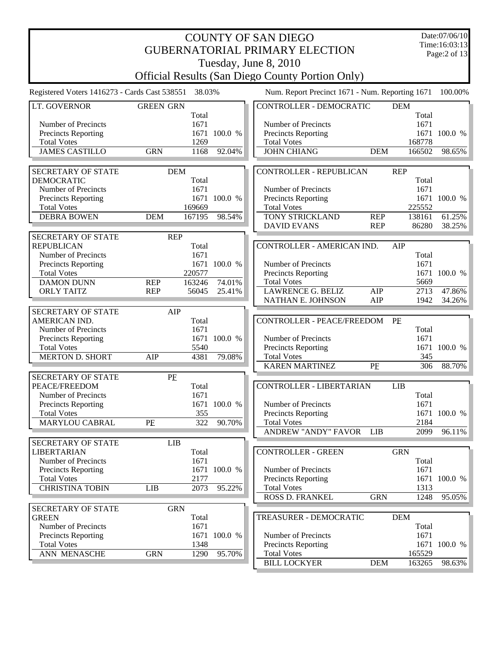|                                               |                  | Date:07/06/10 |              |                                                         |            |                     |               |
|-----------------------------------------------|------------------|---------------|--------------|---------------------------------------------------------|------------|---------------------|---------------|
|                                               |                  |               |              | <b>GUBERNATORIAL PRIMARY ELECTION</b>                   |            |                     | Time:16:03:13 |
|                                               |                  |               |              |                                                         |            |                     | Page:2 of 13  |
|                                               |                  |               |              | Tuesday, June 8, 2010                                   |            |                     |               |
|                                               |                  |               |              | <b>Official Results (San Diego County Portion Only)</b> |            |                     |               |
| Registered Voters 1416273 - Cards Cast 538551 |                  | 38.03%        |              | Num. Report Precinct 1671 - Num. Reporting 1671         |            |                     | 100.00%       |
| LT. GOVERNOR                                  | <b>GREEN GRN</b> |               |              | <b>CONTROLLER - DEMOCRATIC</b>                          |            | <b>DEM</b>          |               |
|                                               |                  | Total         |              |                                                         |            | Total               |               |
| Number of Precincts                           |                  | 1671          |              | Number of Precincts                                     |            | 1671                |               |
| Precincts Reporting                           |                  |               | 1671 100.0 % | Precincts Reporting                                     |            |                     | 1671 100.0 %  |
| <b>Total Votes</b>                            |                  | 1269          |              | <b>Total Votes</b>                                      |            | 168778              |               |
| <b>JAMES CASTILLO</b>                         | <b>GRN</b>       | 1168          | 92.04%       | <b>JOHN CHIANG</b>                                      | <b>DEM</b> | 166502              | 98.65%        |
| <b>SECRETARY OF STATE</b>                     | <b>DEM</b>       |               |              | <b>CONTROLLER - REPUBLICAN</b>                          |            | <b>REP</b>          |               |
| <b>DEMOCRATIC</b>                             |                  | Total         |              |                                                         |            | Total               |               |
| Number of Precincts                           |                  | 1671          |              | Number of Precincts                                     |            | 1671                |               |
| Precincts Reporting                           |                  | 1671          | 100.0 %      | Precincts Reporting                                     |            |                     | 1671 100.0 %  |
| <b>Total Votes</b>                            |                  | 169669        |              | <b>Total Votes</b>                                      |            | 225552              |               |
| <b>DEBRA BOWEN</b>                            | <b>DEM</b>       | 167195        | 98.54%       | <b>TONY STRICKLAND</b>                                  | <b>REP</b> | 138161              | 61.25%        |
|                                               |                  |               |              | <b>DAVID EVANS</b>                                      | <b>REP</b> | 86280               | 38.25%        |
| <b>SECRETARY OF STATE</b>                     | <b>REP</b>       |               |              |                                                         |            |                     |               |
| <b>REPUBLICAN</b>                             |                  | Total         |              | CONTROLLER - AMERICAN IND.                              |            | AIP                 |               |
| Number of Precincts                           |                  | 1671          |              |                                                         |            | Total               |               |
| Precincts Reporting                           |                  | 1671          | 100.0 %      | Number of Precincts                                     |            | 1671                |               |
| <b>Total Votes</b>                            |                  | 220577        |              | Precincts Reporting                                     |            | 1671                | 100.0 %       |
| <b>DAMON DUNN</b>                             | <b>REP</b>       | 163246        | 74.01%       | <b>Total Votes</b>                                      |            | 5669                |               |
| <b>ORLY TAITZ</b>                             | <b>REP</b>       | 56045         | 25.41%       | <b>LAWRENCE G. BELIZ</b>                                | AIP        | 2713                | 47.86%        |
|                                               |                  |               |              | NATHAN E. JOHNSON                                       | AIP        | 1942                | 34.26%        |
| <b>SECRETARY OF STATE</b>                     | AIP              |               |              |                                                         |            |                     |               |
| AMERICAN IND.                                 |                  | Total         |              | <b>CONTROLLER - PEACE/FREEDOM</b>                       |            | PF                  |               |
| Number of Precincts                           |                  | 1671          |              |                                                         |            | Total               |               |
| Precincts Reporting                           |                  |               | 1671 100.0 % | Number of Precincts                                     |            | 1671                |               |
| <b>Total Votes</b>                            |                  | 5540          |              | Precincts Reporting                                     |            |                     | 1671 100.0 %  |
| <b>MERTON D. SHORT</b>                        | AIP              | 4381          | 79.08%       | <b>Total Votes</b>                                      |            | 345                 |               |
|                                               |                  |               |              | <b>KAREN MARTINEZ</b>                                   | PE         | 306                 | 88.70%        |
| <b>SECRETARY OF STATE</b>                     | PE               |               |              |                                                         |            |                     |               |
| PEACE/FREEDOM                                 |                  | Total         |              | <b>CONTROLLER - LIBERTARIAN</b>                         |            | <b>LIB</b>          |               |
| Number of Precincts                           |                  | 1671          |              |                                                         |            | Total               |               |
| Precincts Reporting                           |                  |               | 1671 100.0 % | Number of Precincts                                     |            | 1671                |               |
| <b>Total Votes</b><br>MARYLOU CABRAL          | PE               | 355<br>322    | 90.70%       | Precincts Reporting<br><b>Total Votes</b>               |            | 1671<br>2184        | 100.0 %       |
|                                               |                  |               |              | ANDREW "ANDY" FAVOR                                     | <b>LIB</b> | 2099                | 96.11%        |
|                                               |                  |               |              |                                                         |            |                     |               |
| SECRETARY OF STATE                            | LIB              |               |              |                                                         |            |                     |               |
| <b>LIBERTARIAN</b><br>Number of Precincts     |                  | Total<br>1671 |              | <b>CONTROLLER - GREEN</b>                               |            | <b>GRN</b><br>Total |               |
| <b>Precincts Reporting</b>                    |                  |               | 1671 100.0 % | Number of Precincts                                     |            | 1671                |               |
| <b>Total Votes</b>                            |                  | 2177          |              | <b>Precincts Reporting</b>                              |            |                     | 1671 100.0 %  |
| <b>CHRISTINA TOBIN</b>                        | <b>LIB</b>       | 2073          | 95.22%       | <b>Total Votes</b>                                      |            | 1313                |               |
|                                               |                  |               |              | ROSS D. FRANKEL                                         | <b>GRN</b> | 1248                | 95.05%        |
| SECRETARY OF STATE                            | <b>GRN</b>       |               |              |                                                         |            |                     |               |
| <b>GREEN</b>                                  |                  | Total         |              | TREASURER - DEMOCRATIC                                  |            | <b>DEM</b>          |               |
| Number of Precincts                           |                  | 1671          |              |                                                         |            | Total               |               |
| Precincts Reporting                           |                  | 1671          | 100.0 %      | Number of Precincts                                     |            | 1671                |               |
| <b>Total Votes</b>                            |                  | 1348          |              | Precincts Reporting                                     |            | 1671                | 100.0 %       |
| ANN MENASCHE                                  | <b>GRN</b>       | 1290          | 95.70%       | <b>Total Votes</b>                                      |            | 165529              |               |
|                                               |                  |               |              | <b>BILL LOCKYER</b>                                     | <b>DEM</b> | 163265              | 98.63%        |
|                                               |                  |               |              |                                                         |            |                     |               |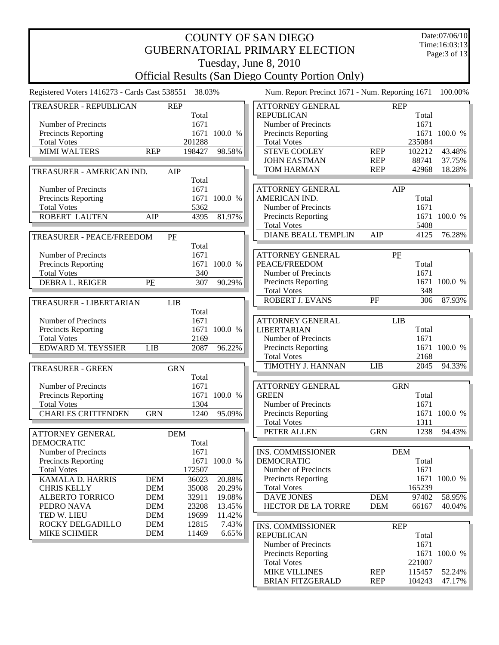| <b>COUNTY OF SAN DIEGO</b>                       |            |                 |              |  |                                                         |                          |                | Date:07/06/10    |
|--------------------------------------------------|------------|-----------------|--------------|--|---------------------------------------------------------|--------------------------|----------------|------------------|
|                                                  |            |                 |              |  | <b>GUBERNATORIAL PRIMARY ELECTION</b>                   |                          |                | Time:16:03:13    |
|                                                  |            |                 |              |  |                                                         |                          |                | Page: 3 of 13    |
|                                                  |            |                 |              |  | Tuesday, June 8, 2010                                   |                          |                |                  |
|                                                  |            |                 |              |  | <b>Official Results (San Diego County Portion Only)</b> |                          |                |                  |
| Registered Voters 1416273 - Cards Cast 538551    |            | 38.03%          |              |  | Num. Report Precinct 1671 - Num. Reporting 1671         |                          |                | 100.00%          |
| TREASURER - REPUBLICAN                           |            | <b>REP</b>      |              |  | <b>ATTORNEY GENERAL</b>                                 |                          | <b>REP</b>     |                  |
|                                                  |            | Total           |              |  | <b>REPUBLICAN</b>                                       |                          | Total          |                  |
| Number of Precincts                              |            | 1671            |              |  | Number of Precincts                                     |                          | 1671           |                  |
| <b>Precincts Reporting</b>                       |            |                 | 1671 100.0 % |  | Precincts Reporting                                     |                          |                | 1671 100.0 %     |
| <b>Total Votes</b>                               |            | 201288          |              |  | <b>Total Votes</b>                                      |                          | 235084         |                  |
| MIMI WALTERS                                     | <b>REP</b> | 198427          | 98.58%       |  | <b>STEVE COOLEY</b>                                     | <b>REP</b>               | 102212         | 43.48%           |
|                                                  |            |                 |              |  | <b>JOHN EASTMAN</b><br><b>TOM HARMAN</b>                | <b>REP</b><br><b>REP</b> | 88741<br>42968 | 37.75%<br>18.28% |
| TREASURER - AMERICAN IND.                        |            | AIP             |              |  |                                                         |                          |                |                  |
| Number of Precincts                              |            | Total<br>1671   |              |  | <b>ATTORNEY GENERAL</b>                                 |                          | AIP            |                  |
| <b>Precincts Reporting</b>                       |            |                 | 1671 100.0 % |  | AMERICAN IND.                                           |                          | Total          |                  |
| <b>Total Votes</b>                               |            | 5362            |              |  | Number of Precincts                                     |                          | 1671           |                  |
| <b>ROBERT LAUTEN</b>                             | AIP        | 4395            | 81.97%       |  | <b>Precincts Reporting</b>                              |                          | 1671           | 100.0 %          |
|                                                  |            |                 |              |  | <b>Total Votes</b>                                      |                          | 5408           |                  |
| TREASURER - PEACE/FREEDOM                        | PE         |                 |              |  | <b>DIANE BEALL TEMPLIN</b>                              | AIP                      | 4125           | 76.28%           |
|                                                  |            | Total           |              |  |                                                         |                          |                |                  |
| Number of Precincts                              |            | 1671            |              |  | <b>ATTORNEY GENERAL</b>                                 |                          | PE             |                  |
| <b>Precincts Reporting</b>                       |            | 1671            | 100.0 %      |  | PEACE/FREEDOM                                           |                          | Total          |                  |
| <b>Total Votes</b>                               |            | 340             |              |  | Number of Precincts                                     |                          | 1671           |                  |
| DEBRA L. REIGER                                  | PE         | 307             | 90.29%       |  | <b>Precincts Reporting</b>                              |                          | 1671           | 100.0 %          |
|                                                  |            |                 |              |  | <b>Total Votes</b>                                      |                          | 348            |                  |
| <b>TREASURER - LIBERTARIAN</b>                   |            | <b>LIB</b>      |              |  | ROBERT J. EVANS                                         | PF                       | 306            | 87.93%           |
|                                                  |            | Total           |              |  |                                                         |                          |                |                  |
| Number of Precincts                              |            | 1671            |              |  | <b>ATTORNEY GENERAL</b>                                 |                          | <b>LIB</b>     |                  |
| <b>Precincts Reporting</b><br><b>Total Votes</b> |            | 2169            | 1671 100.0 % |  | <b>LIBERTARIAN</b><br>Number of Precincts               |                          | Total<br>1671  |                  |
| EDWARD M. TEYSSIER                               | <b>LIB</b> | 2087            | 96.22%       |  | Precincts Reporting                                     |                          | 1671           | 100.0 %          |
|                                                  |            |                 |              |  | <b>Total Votes</b>                                      |                          | 2168           |                  |
| <b>TREASURER - GREEN</b>                         |            | <b>GRN</b>      |              |  | TIMOTHY J. HANNAN                                       | <b>LIB</b>               | 2045           | 94.33%           |
|                                                  |            | Total           |              |  |                                                         |                          |                |                  |
| Number of Precincts                              |            | 1671            |              |  | <b>ATTORNEY GENERAL</b>                                 |                          | <b>GRN</b>     |                  |
| <b>Precincts Reporting</b>                       |            |                 | 1671 100.0 % |  | <b>GREEN</b>                                            |                          | Total          |                  |
| <b>Total Votes</b>                               |            | 1304            |              |  | Number of Precincts                                     |                          | 1671           |                  |
| <b>CHARLES CRITTENDEN</b>                        | <b>GRN</b> | 1240            | 95.09%       |  | <b>Precincts Reporting</b>                              |                          | 1671           | 100.0 %          |
|                                                  |            |                 |              |  | <b>Total Votes</b>                                      |                          | 1311           |                  |
| ATTORNEY GENERAL                                 |            | <b>DEM</b>      |              |  | PETER ALLEN                                             | <b>GRN</b>               | 1238           | 94.43%           |
| <b>DEMOCRATIC</b>                                |            | Total           |              |  |                                                         |                          |                |                  |
| Number of Precincts                              |            | 1671            |              |  | INS. COMMISSIONER                                       |                          | <b>DEM</b>     |                  |
| <b>Precincts Reporting</b>                       |            |                 | 1671 100.0 % |  | <b>DEMOCRATIC</b>                                       |                          | Total          |                  |
| <b>Total Votes</b><br>KAMALA D. HARRIS           | <b>DEM</b> | 172507<br>36023 | 20.88%       |  | Number of Precincts<br>Precincts Reporting              |                          | 1671<br>1671   | 100.0 %          |
| <b>CHRIS KELLY</b>                               | <b>DEM</b> | 35008           | 20.29%       |  | <b>Total Votes</b>                                      |                          | 165239         |                  |
| <b>ALBERTO TORRICO</b>                           | <b>DEM</b> | 32911           | 19.08%       |  | <b>DAVE JONES</b>                                       | <b>DEM</b>               | 97402          | 58.95%           |
| PEDRO NAVA                                       | <b>DEM</b> | 23208           | 13.45%       |  | HECTOR DE LA TORRE                                      | <b>DEM</b>               | 66167          | 40.04%           |
| TED W. LIEU                                      | <b>DEM</b> | 19699           | 11.42%       |  |                                                         |                          |                |                  |
| ROCKY DELGADILLO                                 | <b>DEM</b> | 12815           | 7.43%        |  | INS. COMMISSIONER                                       |                          | <b>REP</b>     |                  |
| <b>MIKE SCHMIER</b>                              | <b>DEM</b> | 11469           | 6.65%        |  | <b>REPUBLICAN</b>                                       |                          | Total          |                  |
|                                                  |            |                 |              |  | Number of Precincts                                     |                          | 1671           |                  |
|                                                  |            |                 |              |  | Precincts Reporting                                     |                          |                | 1671 100.0 %     |
|                                                  |            |                 |              |  | <b>Total Votes</b>                                      |                          | 221007         |                  |
|                                                  |            |                 |              |  | <b>MIKE VILLINES</b>                                    | <b>REP</b>               | 115457         | 52.24%           |
|                                                  |            |                 |              |  | <b>BRIAN FITZGERALD</b>                                 | <b>REP</b>               | 104243         | 47.17%           |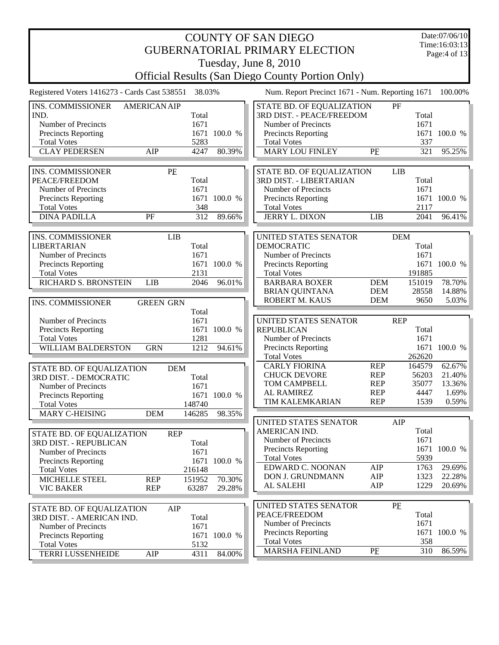| <b>COUNTY OF SAN DIEGO</b>                    |                          |                 |                  |  |                                                         |                          |                 |                  |  |
|-----------------------------------------------|--------------------------|-----------------|------------------|--|---------------------------------------------------------|--------------------------|-----------------|------------------|--|
|                                               |                          |                 |                  |  | <b>GUBERNATORIAL PRIMARY ELECTION</b>                   |                          |                 | Time:16:03:13    |  |
|                                               |                          |                 |                  |  |                                                         |                          |                 | Page: $4$ of 13  |  |
|                                               |                          |                 |                  |  | Tuesday, June 8, 2010                                   |                          |                 |                  |  |
|                                               |                          |                 |                  |  | <b>Official Results (San Diego County Portion Only)</b> |                          |                 |                  |  |
| Registered Voters 1416273 - Cards Cast 538551 |                          | 38.03%          |                  |  | Num. Report Precinct 1671 - Num. Reporting 1671         |                          |                 | 100.00%          |  |
| <b>INS. COMMISSIONER</b>                      | <b>AMERICAN AIP</b>      |                 |                  |  | STATE BD. OF EQUALIZATION                               |                          | PF              |                  |  |
| IND.                                          |                          | Total           |                  |  | 3RD DIST. - PEACE/FREEDOM                               |                          | Total           |                  |  |
| Number of Precincts                           |                          | 1671            |                  |  | Number of Precincts                                     |                          | 1671            |                  |  |
| <b>Precincts Reporting</b>                    |                          | 1671            | 100.0 %          |  | <b>Precincts Reporting</b>                              |                          |                 | 1671 100.0 %     |  |
| <b>Total Votes</b>                            |                          | 5283            |                  |  | <b>Total Votes</b>                                      |                          | 337             |                  |  |
| <b>CLAY PEDERSEN</b>                          | AIP                      | 4247            | 80.39%           |  | <b>MARY LOU FINLEY</b>                                  | PE                       | 321             | 95.25%           |  |
| <b>INS. COMMISSIONER</b>                      |                          | PE              |                  |  | STATE BD. OF EQUALIZATION                               |                          | <b>LIB</b>      |                  |  |
| PEACE/FREEDOM                                 |                          | Total           |                  |  | <b>3RD DIST. - LIBERTARIAN</b>                          |                          | Total           |                  |  |
| Number of Precincts                           |                          | 1671            |                  |  | Number of Precincts                                     |                          | 1671            |                  |  |
| <b>Precincts Reporting</b>                    |                          | 1671            | 100.0 %          |  | <b>Precincts Reporting</b>                              |                          | 1671            | 100.0 %          |  |
| <b>Total Votes</b>                            |                          | 348             |                  |  | <b>Total Votes</b>                                      |                          | 2117            |                  |  |
| <b>DINA PADILLA</b>                           | PF                       | 312             | 89.66%           |  | JERRY L. DIXON                                          | <b>LIB</b>               | 2041            | 96.41%           |  |
|                                               |                          |                 |                  |  |                                                         |                          |                 |                  |  |
| <b>INS. COMMISSIONER</b>                      |                          | <b>LIB</b>      |                  |  | UNITED STATES SENATOR                                   |                          | <b>DEM</b>      |                  |  |
| <b>LIBERTARIAN</b>                            |                          | Total           |                  |  | <b>DEMOCRATIC</b>                                       |                          | Total           |                  |  |
| Number of Precincts                           |                          | 1671            |                  |  | Number of Precincts                                     |                          | 1671            |                  |  |
| <b>Precincts Reporting</b>                    |                          |                 | 1671 100.0 %     |  | Precincts Reporting                                     |                          |                 | 1671 100.0 %     |  |
| <b>Total Votes</b>                            |                          | 2131            |                  |  | <b>Total Votes</b>                                      |                          | 191885          |                  |  |
| RICHARD S. BRONSTEIN                          | <b>LIB</b>               | 2046            | 96.01%           |  | <b>BARBARA BOXER</b><br><b>BRIAN QUINTANA</b>           | <b>DEM</b><br><b>DEM</b> | 151019<br>28558 | 78.70%<br>14.88% |  |
|                                               |                          |                 |                  |  | ROBERT M. KAUS                                          | <b>DEM</b>               | 9650            | 5.03%            |  |
| <b>INS. COMMISSIONER</b>                      | <b>GREEN GRN</b>         | Total           |                  |  |                                                         |                          |                 |                  |  |
| Number of Precincts                           |                          | 1671            |                  |  | UNITED STATES SENATOR                                   |                          | <b>REP</b>      |                  |  |
| <b>Precincts Reporting</b>                    |                          |                 | 1671 100.0 %     |  | <b>REPUBLICAN</b>                                       |                          | Total           |                  |  |
| <b>Total Votes</b>                            |                          | 1281            |                  |  | Number of Precincts                                     |                          | 1671            |                  |  |
| <b>WILLIAM BALDERSTON</b>                     | <b>GRN</b>               | 1212            | 94.61%           |  | <b>Precincts Reporting</b>                              |                          | 1671            | 100.0 %          |  |
|                                               |                          |                 |                  |  | <b>Total Votes</b>                                      |                          | 262620          |                  |  |
| STATE BD. OF EQUALIZATION                     |                          | <b>DEM</b>      |                  |  | <b>CARLY FIORINA</b>                                    | <b>REP</b>               | 164579          | 62.67%           |  |
| 3RD DIST. - DEMOCRATIC                        |                          | Total           |                  |  | <b>CHUCK DEVORE</b>                                     | <b>REP</b>               | 56203           | 21.40%           |  |
| Number of Precincts                           |                          | 1671            |                  |  | <b>TOM CAMPBELL</b>                                     | <b>REP</b>               | 35077           | 13.36%           |  |
| <b>Precincts Reporting</b>                    |                          |                 | 1671 100.0 %     |  | <b>AL RAMIREZ</b>                                       | <b>REP</b>               | 4447            | 1.69%            |  |
| <b>Total Votes</b>                            |                          | 148740          |                  |  | TIM KALEMKARIAN                                         | <b>REP</b>               | 1539            | 0.59%            |  |
| MARY C-HEISING                                | <b>DEM</b>               | 146285          | 98.35%           |  |                                                         |                          |                 |                  |  |
|                                               |                          |                 |                  |  | UNITED STATES SENATOR                                   |                          | AIP             |                  |  |
| STATE BD. OF EQUALIZATION                     |                          | <b>REP</b>      |                  |  | AMERICAN IND.<br>Number of Precincts                    |                          | Total<br>1671   |                  |  |
| 3RD DIST. - REPUBLICAN                        |                          | Total           |                  |  | <b>Precincts Reporting</b>                              |                          | 1671            | 100.0 %          |  |
| Number of Precincts                           |                          | 1671            |                  |  | <b>Total Votes</b>                                      |                          | 5939            |                  |  |
| <b>Precincts Reporting</b>                    |                          | 1671            | 100.0 %          |  | EDWARD C. NOONAN                                        | AIP                      | 1763            | 29.69%           |  |
| <b>Total Votes</b>                            |                          | 216148          |                  |  | DON J. GRUNDMANN                                        | AIP                      | 1323            | 22.28%           |  |
| MICHELLE STEEL<br><b>VIC BAKER</b>            | <b>REP</b><br><b>REP</b> | 151952<br>63287 | 70.30%<br>29.28% |  | AL SALEHI                                               | AIP                      | 1229            | 20.69%           |  |
|                                               |                          |                 |                  |  |                                                         |                          |                 |                  |  |
| STATE BD. OF EQUALIZATION                     |                          | AIP             |                  |  | UNITED STATES SENATOR                                   |                          | PE              |                  |  |
| 3RD DIST. - AMERICAN IND.                     |                          | Total           |                  |  | PEACE/FREEDOM                                           |                          | Total           |                  |  |
| Number of Precincts                           |                          | 1671            |                  |  | Number of Precincts                                     |                          | 1671            |                  |  |
| <b>Precincts Reporting</b>                    |                          |                 | 1671 100.0 %     |  | <b>Precincts Reporting</b>                              |                          |                 | 1671 100.0 %     |  |
| <b>Total Votes</b>                            |                          | 5132            |                  |  | <b>Total Votes</b>                                      |                          | 358             |                  |  |
| <b>TERRI LUSSENHEIDE</b>                      | AIP                      | 4311            | 84.00%           |  | MARSHA FEINLAND                                         | PE                       | 310             | 86.59%           |  |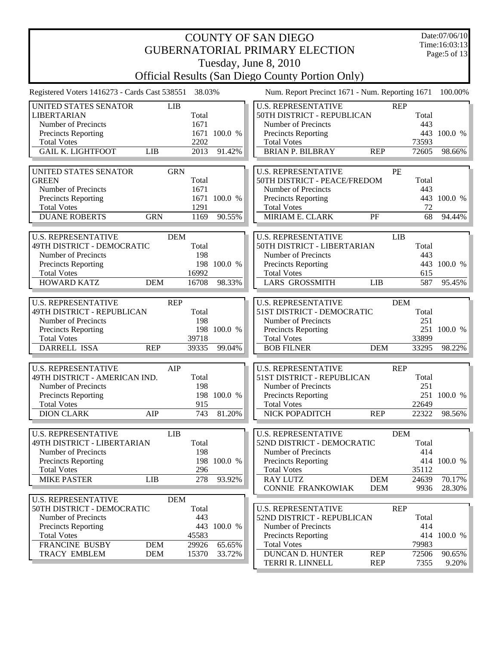| <b>COUNTY OF SAN DIEGO</b><br><b>GUBERNATORIAL PRIMARY ELECTION</b> |            |        |              |                                                                         |               |                    |  |  |  |  |
|---------------------------------------------------------------------|------------|--------|--------------|-------------------------------------------------------------------------|---------------|--------------------|--|--|--|--|
|                                                                     |            |        |              |                                                                         |               | Page: $5$ of 13    |  |  |  |  |
|                                                                     |            |        |              | Tuesday, June 8, 2010                                                   |               |                    |  |  |  |  |
|                                                                     |            |        |              | <b>Official Results (San Diego County Portion Only)</b>                 |               |                    |  |  |  |  |
| Registered Voters 1416273 - Cards Cast 538551                       |            | 38.03% |              | Num. Report Precinct 1671 - Num. Reporting 1671                         |               | 100.00%            |  |  |  |  |
| UNITED STATES SENATOR                                               | <b>LIB</b> |        |              | <b>U.S. REPRESENTATIVE</b><br><b>REP</b>                                |               |                    |  |  |  |  |
| <b>LIBERTARIAN</b>                                                  |            | Total  |              | 50TH DISTRICT - REPUBLICAN                                              | Total         |                    |  |  |  |  |
| Number of Precincts                                                 |            | 1671   |              | Number of Precincts                                                     | 443           |                    |  |  |  |  |
| <b>Precincts Reporting</b><br><b>Total Votes</b>                    |            | 2202   | 1671 100.0 % | Precincts Reporting<br><b>Total Votes</b>                               | 73593         | 443 100.0 %        |  |  |  |  |
| <b>GAIL K. LIGHTFOOT</b>                                            | <b>LIB</b> | 2013   | 91.42%       | <b>BRIAN P. BILBRAY</b><br><b>REP</b>                                   | 72605         | 98.66%             |  |  |  |  |
|                                                                     |            |        |              |                                                                         |               |                    |  |  |  |  |
| UNITED STATES SENATOR                                               | <b>GRN</b> |        |              | <b>U.S. REPRESENTATIVE</b><br>PE                                        |               |                    |  |  |  |  |
| <b>GREEN</b>                                                        |            | Total  |              | 50TH DISTRICT - PEACE/FREDOM                                            | Total         |                    |  |  |  |  |
| Number of Precincts                                                 |            | 1671   |              | Number of Precincts                                                     | 443           |                    |  |  |  |  |
| <b>Precincts Reporting</b>                                          |            | 1671   | 100.0 %      | Precincts Reporting                                                     | 443           | 100.0 %            |  |  |  |  |
| <b>Total Votes</b>                                                  |            | 1291   |              | <b>Total Votes</b>                                                      | 72            |                    |  |  |  |  |
| <b>DUANE ROBERTS</b>                                                | <b>GRN</b> | 1169   | 90.55%       | MIRIAM E. CLARK<br>PF                                                   | 68            | 94.44%             |  |  |  |  |
|                                                                     |            |        |              |                                                                         |               |                    |  |  |  |  |
| <b>U.S. REPRESENTATIVE</b>                                          | <b>DEM</b> |        |              | <b>U.S. REPRESENTATIVE</b><br><b>LIB</b>                                |               |                    |  |  |  |  |
| 49TH DISTRICT - DEMOCRATIC                                          |            | Total  |              | 50TH DISTRICT - LIBERTARIAN                                             | Total         |                    |  |  |  |  |
| Number of Precincts                                                 |            | 198    |              | Number of Precincts                                                     | 443           |                    |  |  |  |  |
| <b>Precincts Reporting</b>                                          |            | 198    | 100.0 %      | Precincts Reporting                                                     | 443           | 100.0 %            |  |  |  |  |
| <b>Total Votes</b>                                                  |            | 16992  |              | <b>Total Votes</b>                                                      | 615           |                    |  |  |  |  |
| <b>HOWARD KATZ</b>                                                  | <b>DEM</b> | 16708  | 98.33%       | <b>LARS GROSSMITH</b><br><b>LIB</b>                                     | 587           | 95.45%             |  |  |  |  |
|                                                                     |            |        |              |                                                                         |               |                    |  |  |  |  |
| <b>U.S. REPRESENTATIVE</b>                                          | <b>REP</b> |        |              | <b>U.S. REPRESENTATIVE</b><br><b>DEM</b>                                |               |                    |  |  |  |  |
| 49TH DISTRICT - REPUBLICAN                                          |            | Total  |              | 51ST DISTRICT - DEMOCRATIC                                              | Total         |                    |  |  |  |  |
| Number of Precincts                                                 |            | 198    |              | Number of Precincts                                                     | 251           |                    |  |  |  |  |
| Precincts Reporting                                                 |            |        | 198 100.0 %  | Precincts Reporting                                                     |               | 251 100.0 %        |  |  |  |  |
| <b>Total Votes</b>                                                  | <b>REP</b> | 39718  |              | <b>Total Votes</b>                                                      | 33899         |                    |  |  |  |  |
| <b>DARRELL ISSA</b>                                                 |            | 39335  | 99.04%       | <b>BOB FILNER</b><br><b>DEM</b>                                         | 33295         | 98.22%             |  |  |  |  |
| <b>U.S. REPRESENTATIVE</b>                                          | AIP        |        |              | <b>U.S. REPRESENTATIVE</b><br><b>REP</b>                                |               |                    |  |  |  |  |
| 49TH DISTRICT - AMERICAN IND.                                       |            | Total  |              | 51ST DISTRICT - REPUBLICAN                                              | Total         |                    |  |  |  |  |
| Number of Precincts                                                 |            | 198    |              | Number of Precincts                                                     | 251           |                    |  |  |  |  |
| <b>Precincts Reporting</b>                                          |            |        | 198 100.0 %  | <b>Precincts Reporting</b>                                              |               | 251 100.0 %        |  |  |  |  |
| <b>Total Votes</b>                                                  |            | 915    |              | <b>Total Votes</b>                                                      | 22649         |                    |  |  |  |  |
| <b>DION CLARK</b>                                                   | AIP        | 743    | 81.20%       | NICK POPADITCH<br><b>REP</b>                                            | 22322         | 98.56%             |  |  |  |  |
|                                                                     |            |        |              |                                                                         |               |                    |  |  |  |  |
| <b>U.S. REPRESENTATIVE</b>                                          | LIB        |        |              | <b>U.S. REPRESENTATIVE</b><br><b>DEM</b>                                |               |                    |  |  |  |  |
| 49TH DISTRICT - LIBERTARIAN                                         |            | Total  |              | 52ND DISTRICT - DEMOCRATIC                                              | Total         |                    |  |  |  |  |
| Number of Precincts                                                 |            | 198    |              | Number of Precincts                                                     | 414           |                    |  |  |  |  |
| <b>Precincts Reporting</b>                                          |            |        | 198 100.0 %  | <b>Precincts Reporting</b>                                              |               | 414 100.0 %        |  |  |  |  |
| <b>Total Votes</b>                                                  |            | 296    |              | <b>Total Votes</b>                                                      | 35112         |                    |  |  |  |  |
| <b>MIKE PASTER</b>                                                  | <b>LIB</b> | 278    | 93.92%       | <b>RAY LUTZ</b><br><b>DEM</b>                                           | 24639         | 70.17%             |  |  |  |  |
|                                                                     |            |        |              | <b>CONNIE FRANKOWIAK</b><br><b>DEM</b>                                  | 9936          | 28.30%             |  |  |  |  |
| <b>U.S. REPRESENTATIVE</b>                                          | <b>DEM</b> |        |              |                                                                         |               |                    |  |  |  |  |
| 50TH DISTRICT - DEMOCRATIC                                          |            | Total  |              | <b>U.S. REPRESENTATIVE</b><br><b>REP</b>                                |               |                    |  |  |  |  |
| Number of Precincts                                                 |            | 443    |              | 52ND DISTRICT - REPUBLICAN                                              | Total         |                    |  |  |  |  |
| <b>Precincts Reporting</b>                                          |            |        | 443 100.0 %  | Number of Precincts                                                     | 414           |                    |  |  |  |  |
| <b>Total Votes</b>                                                  |            | 45583  |              | <b>Precincts Reporting</b>                                              |               | 414 100.0 %        |  |  |  |  |
| <b>FRANCINE BUSBY</b>                                               | <b>DEM</b> | 29926  | 65.65%       | <b>Total Votes</b>                                                      | 79983         |                    |  |  |  |  |
| <b>TRACY EMBLEM</b>                                                 | <b>DEM</b> | 15370  | 33.72%       | <b>DUNCAN D. HUNTER</b><br><b>REP</b><br>TERRI R. LINNELL<br><b>REP</b> | 72506<br>7355 | 90.65%<br>$9.20\%$ |  |  |  |  |
|                                                                     |            |        |              |                                                                         |               |                    |  |  |  |  |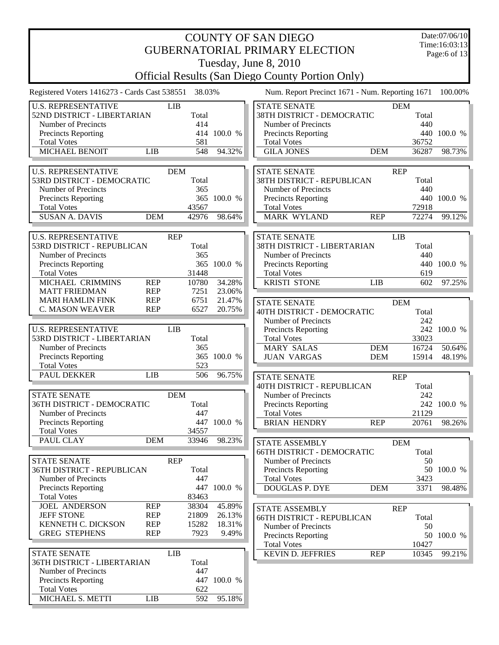|                                                      |                                                         |                |             | <b>COUNTY OF SAN DIEGO</b>                                          |                     | Date:07/06/10                 |  |  |  |  |  |
|------------------------------------------------------|---------------------------------------------------------|----------------|-------------|---------------------------------------------------------------------|---------------------|-------------------------------|--|--|--|--|--|
|                                                      |                                                         |                |             | <b>GUBERNATORIAL PRIMARY ELECTION</b>                               |                     | Time:16:03:13<br>Page:6 of 13 |  |  |  |  |  |
|                                                      |                                                         |                |             | Tuesday, June 8, 2010                                               |                     |                               |  |  |  |  |  |
|                                                      | <b>Official Results (San Diego County Portion Only)</b> |                |             |                                                                     |                     |                               |  |  |  |  |  |
|                                                      |                                                         |                |             |                                                                     |                     |                               |  |  |  |  |  |
| Registered Voters 1416273 - Cards Cast 538551 38.03% |                                                         |                |             | Num. Report Precinct 1671 - Num. Reporting 1671                     |                     | 100.00%                       |  |  |  |  |  |
| <b>U.S. REPRESENTATIVE</b>                           |                                                         | <b>LIB</b>     |             | <b>STATE SENATE</b>                                                 | <b>DEM</b>          |                               |  |  |  |  |  |
| 52ND DISTRICT - LIBERTARIAN<br>Number of Precincts   |                                                         | Total<br>414   |             | 38TH DISTRICT - DEMOCRATIC<br>Number of Precincts                   | Total<br>440        |                               |  |  |  |  |  |
| Precincts Reporting                                  |                                                         |                | 414 100.0 % | Precincts Reporting                                                 |                     | 440 100.0 %                   |  |  |  |  |  |
| <b>Total Votes</b>                                   |                                                         | 581            |             | <b>Total Votes</b>                                                  | 36752               |                               |  |  |  |  |  |
| MICHAEL BENOIT                                       | LIB                                                     | 548            | 94.32%      | <b>GILA JONES</b><br><b>DEM</b>                                     | 36287               | 98.73%                        |  |  |  |  |  |
|                                                      |                                                         |                |             |                                                                     |                     |                               |  |  |  |  |  |
| <b>U.S. REPRESENTATIVE</b>                           |                                                         | <b>DEM</b>     |             | <b>STATE SENATE</b>                                                 | <b>REP</b>          |                               |  |  |  |  |  |
| 53RD DISTRICT - DEMOCRATIC                           |                                                         | Total          |             | 38TH DISTRICT - REPUBLICAN                                          | Total               |                               |  |  |  |  |  |
| Number of Precincts                                  |                                                         | 365            |             | Number of Precincts                                                 | 440                 |                               |  |  |  |  |  |
| Precincts Reporting                                  |                                                         | 365            | 100.0 %     | Precincts Reporting                                                 | 440                 | 100.0 %                       |  |  |  |  |  |
| <b>Total Votes</b><br><b>SUSAN A. DAVIS</b>          | <b>DEM</b>                                              | 43567<br>42976 | 98.64%      | <b>Total Votes</b><br><b>MARK WYLAND</b><br><b>REP</b>              | 72918<br>72274      | 99.12%                        |  |  |  |  |  |
|                                                      |                                                         |                |             |                                                                     |                     |                               |  |  |  |  |  |
| <b>U.S. REPRESENTATIVE</b>                           |                                                         | <b>REP</b>     |             | <b>STATE SENATE</b>                                                 | <b>LIB</b>          |                               |  |  |  |  |  |
| 53RD DISTRICT - REPUBLICAN                           |                                                         | Total          |             | 38TH DISTRICT - LIBERTARIAN                                         | Total               |                               |  |  |  |  |  |
| Number of Precincts                                  |                                                         | 365            |             | Number of Precincts                                                 | 440                 |                               |  |  |  |  |  |
| Precincts Reporting                                  |                                                         | 365            | 100.0 %     | Precincts Reporting                                                 |                     | 440 100.0 %                   |  |  |  |  |  |
| <b>Total Votes</b>                                   |                                                         | 31448          |             | <b>Total Votes</b>                                                  | 619                 |                               |  |  |  |  |  |
| MICHAEL CRIMMINS                                     | <b>REP</b>                                              | 10780          | 34.28%      | <b>KRISTI STONE</b><br><b>LIB</b>                                   | 602                 | 97.25%                        |  |  |  |  |  |
| <b>MATT FRIEDMAN</b>                                 | <b>REP</b>                                              | 7251           | 23.06%      |                                                                     |                     |                               |  |  |  |  |  |
| <b>MARI HAMLIN FINK</b>                              | <b>REP</b>                                              | 6751           | 21.47%      | <b>STATE SENATE</b>                                                 | <b>DEM</b>          |                               |  |  |  |  |  |
| <b>C. MASON WEAVER</b>                               | <b>REP</b>                                              | 6527           | 20.75%      | 40TH DISTRICT - DEMOCRATIC                                          | Total               |                               |  |  |  |  |  |
|                                                      |                                                         |                |             | Number of Precincts                                                 | 242                 |                               |  |  |  |  |  |
| <b>U.S. REPRESENTATIVE</b>                           |                                                         | <b>LIB</b>     |             | Precincts Reporting                                                 |                     | 242 100.0 %                   |  |  |  |  |  |
| 53RD DISTRICT - LIBERTARIAN                          |                                                         | Total          |             | <b>Total Votes</b>                                                  | 33023               |                               |  |  |  |  |  |
| Number of Precincts<br>Precincts Reporting           |                                                         | 365            | 365 100.0 % | <b>MARY SALAS</b><br><b>DEM</b><br><b>JUAN VARGAS</b><br><b>DEM</b> | 16724<br>15914      | 50.64%                        |  |  |  |  |  |
| <b>Total Votes</b>                                   |                                                         | 523            |             |                                                                     |                     | 48.19%                        |  |  |  |  |  |
| PAUL DEKKER                                          | <b>LIB</b>                                              | 506            | 96.75%      | <b>STATE SENATE</b>                                                 | <b>REP</b>          |                               |  |  |  |  |  |
|                                                      |                                                         |                |             | <b>40TH DISTRICT - REPUBLICAN</b>                                   | Total               |                               |  |  |  |  |  |
| <b>STATE SENATE</b>                                  |                                                         | <b>DEM</b>     |             | Number of Precincts                                                 | 242                 |                               |  |  |  |  |  |
| 36TH DISTRICT - DEMOCRATIC                           |                                                         | Total          |             | <b>Precincts Reporting</b>                                          |                     | 242 100.0 %                   |  |  |  |  |  |
| Number of Precincts                                  |                                                         | 447            |             | <b>Total Votes</b>                                                  | 21129               |                               |  |  |  |  |  |
| <b>Precincts Reporting</b>                           |                                                         |                | 447 100.0 % | <b>BRIAN HENDRY</b><br><b>REP</b>                                   | 20761               | 98.26%                        |  |  |  |  |  |
| <b>Total Votes</b>                                   |                                                         | 34557          |             |                                                                     |                     |                               |  |  |  |  |  |
| PAUL CLAY                                            | <b>DEM</b>                                              | 33946          | 98.23%      | <b>STATE ASSEMBLY</b>                                               | <b>DEM</b>          |                               |  |  |  |  |  |
|                                                      |                                                         |                |             | <b>66TH DISTRICT - DEMOCRATIC</b>                                   | Total               |                               |  |  |  |  |  |
| <b>STATE SENATE</b>                                  |                                                         | <b>REP</b>     |             | Number of Precincts                                                 | 50                  |                               |  |  |  |  |  |
| <b>36TH DISTRICT - REPUBLICAN</b>                    |                                                         | Total          |             | <b>Precincts Reporting</b>                                          |                     | 50 100.0 %                    |  |  |  |  |  |
| Number of Precincts                                  |                                                         | 447            | 447 100.0 % | <b>Total Votes</b>                                                  | 3423                |                               |  |  |  |  |  |
| <b>Precincts Reporting</b><br><b>Total Votes</b>     |                                                         | 83463          |             | <b>DOUGLAS P. DYE</b><br><b>DEM</b>                                 | 3371                | 98.48%                        |  |  |  |  |  |
| <b>JOEL ANDERSON</b>                                 | <b>REP</b>                                              | 38304          | 45.89%      |                                                                     |                     |                               |  |  |  |  |  |
| <b>JEFF STONE</b>                                    | <b>REP</b>                                              | 21809          | 26.13%      | STATE ASSEMBLY<br><b>66TH DISTRICT - REPUBLICAN</b>                 | <b>REP</b><br>Total |                               |  |  |  |  |  |
| KENNETH C. DICKSON                                   | <b>REP</b>                                              | 15282          | 18.31%      | Number of Precincts                                                 | 50                  |                               |  |  |  |  |  |
| <b>GREG STEPHENS</b>                                 | <b>REP</b>                                              | 7923           | 9.49%       | Precincts Reporting                                                 | 50                  | 100.0 %                       |  |  |  |  |  |
|                                                      |                                                         |                |             | <b>Total Votes</b>                                                  | 10427               |                               |  |  |  |  |  |
| <b>STATE SENATE</b>                                  |                                                         | <b>LIB</b>     |             | <b>KEVIN D. JEFFRIES</b><br><b>REP</b>                              | 10345               | 99.21%                        |  |  |  |  |  |
| 36TH DISTRICT - LIBERTARIAN                          |                                                         | Total          |             |                                                                     |                     |                               |  |  |  |  |  |
| Number of Precincts                                  |                                                         | 447            |             |                                                                     |                     |                               |  |  |  |  |  |
| <b>Precincts Reporting</b>                           |                                                         |                | 447 100.0 % |                                                                     |                     |                               |  |  |  |  |  |
| <b>Total Votes</b>                                   |                                                         | 622            |             |                                                                     |                     |                               |  |  |  |  |  |
| MICHAEL S. METTI                                     | <b>LIB</b>                                              | 592            | 95.18%      |                                                                     |                     |                               |  |  |  |  |  |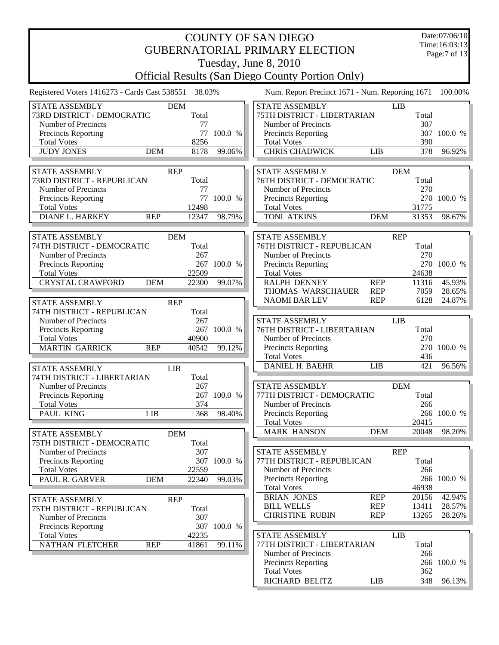| <b>COUNTY OF SAN DIEGO</b><br><b>GUBERNATORIAL PRIMARY ELECTION</b>                                                                                                                                                                       |                                                                                                                                                                                                                                                                    |                            |  |  |  |  |  |  |
|-------------------------------------------------------------------------------------------------------------------------------------------------------------------------------------------------------------------------------------------|--------------------------------------------------------------------------------------------------------------------------------------------------------------------------------------------------------------------------------------------------------------------|----------------------------|--|--|--|--|--|--|
| <b>Official Results (San Diego County Portion Only)</b>                                                                                                                                                                                   | Tuesday, June 8, 2010                                                                                                                                                                                                                                              |                            |  |  |  |  |  |  |
| Registered Voters 1416273 - Cards Cast 538551<br>38.03%                                                                                                                                                                                   | Num. Report Precinct 1671 - Num. Reporting 1671<br>100.00%                                                                                                                                                                                                         |                            |  |  |  |  |  |  |
| <b>STATE ASSEMBLY</b><br><b>DEM</b><br>Total<br>73RD DISTRICT - DEMOCRATIC<br>Number of Precincts<br>77<br>77<br>100.0 %<br>Precincts Reporting<br><b>Total Votes</b><br>8256<br><b>JUDY JONES</b><br><b>DEM</b><br>99.06%<br>8178        | <b>STATE ASSEMBLY</b><br><b>LIB</b><br>75TH DISTRICT - LIBERTARIAN<br>Total<br>307<br>Number of Precincts<br>307<br>100.0 %<br>Precincts Reporting<br>390<br><b>Total Votes</b><br><b>CHRIS CHADWICK</b><br>378<br><b>LIB</b>                                      | 96.92%                     |  |  |  |  |  |  |
| <b>STATE ASSEMBLY</b><br><b>REP</b><br>73RD DISTRICT - REPUBLICAN<br>Total<br>Number of Precincts<br>77<br>77<br>100.0 %<br>Precincts Reporting<br>12498<br><b>Total Votes</b><br><b>DIANE L. HARKEY</b><br><b>REP</b><br>12347<br>98.79% | <b>STATE ASSEMBLY</b><br><b>DEM</b><br>76TH DISTRICT - DEMOCRATIC<br>Total<br>270<br>Number of Precincts<br>270 100.0 %<br>Precincts Reporting<br>31775<br><b>Total Votes</b><br>TONI ATKINS<br>31353<br><b>DEM</b>                                                | 98.67%                     |  |  |  |  |  |  |
| <b>STATE ASSEMBLY</b><br><b>DEM</b><br>74TH DISTRICT - DEMOCRATIC<br>Total<br>Number of Precincts<br>267<br>267 100.0 %<br>Precincts Reporting<br><b>Total Votes</b><br>22509<br><b>CRYSTAL CRAWFORD</b><br><b>DEM</b><br>22300<br>99.07% | <b>STATE ASSEMBLY</b><br><b>REP</b><br>76TH DISTRICT - REPUBLICAN<br>Total<br>Number of Precincts<br>270<br>Precincts Reporting<br>270<br>100.0 %<br><b>Total Votes</b><br>24638<br>RALPH DENNEY<br><b>REP</b><br>11316<br>THOMAS WARSCHAUER<br><b>REP</b><br>7059 | 45.93%<br>28.65%           |  |  |  |  |  |  |
| <b>STATE ASSEMBLY</b><br><b>REP</b><br>74TH DISTRICT - REPUBLICAN<br>Total<br>Number of Precincts<br>267<br>267 100.0 %<br>Precincts Reporting<br><b>Total Votes</b><br>40900<br><b>MARTIN GARRICK</b><br><b>REP</b><br>99.12%<br>40542   | <b>REP</b><br>6128<br>24.87%<br><b>NAOMI BAR LEV</b><br><b>STATE ASSEMBLY</b><br><b>LIB</b><br>Total<br>76TH DISTRICT - LIBERTARIAN<br>270<br>Number of Precincts<br>270<br>100.0 %<br><b>Precincts Reporting</b><br><b>Total Votes</b><br>436                     |                            |  |  |  |  |  |  |
| <b>STATE ASSEMBLY</b><br><b>LIB</b><br>74TH DISTRICT - LIBERTARIAN<br>Total<br>267<br>Number of Precincts<br><b>Precincts Reporting</b><br>267 100.0 %<br>374<br><b>Total Votes</b><br>PAUL KING<br><b>LIB</b><br>98.40%<br>368           | <b>DANIEL H. BAEHR</b><br><b>LIB</b><br>421<br><b>STATE ASSEMBLY</b><br><b>DEM</b><br>77TH DISTRICT - DEMOCRATIC<br>Total<br>266<br>Number of Precincts<br>Precincts Reporting<br>266 100.0 %<br><b>Total Votes</b><br>20415                                       | 96.56%                     |  |  |  |  |  |  |
| <b>STATE ASSEMBLY</b><br><b>DEM</b><br>75TH DISTRICT - DEMOCRATIC<br>Total<br>Number of Precincts<br>307<br>307 100.0 %<br><b>Precincts Reporting</b><br><b>Total Votes</b><br>22559<br>PAUL R. GARVER<br><b>DEM</b><br>22340<br>99.03%   | <b>MARK HANSON</b><br><b>DEM</b><br>20048<br>STATE ASSEMBLY<br><b>REP</b><br>Total<br>77TH DISTRICT - REPUBLICAN<br>266<br>Number of Precincts<br>Precincts Reporting<br>266 100.0 %<br>46938<br><b>Total Votes</b>                                                | 98.20%                     |  |  |  |  |  |  |
| <b>REP</b><br>STATE ASSEMBLY<br>Total<br>75TH DISTRICT - REPUBLICAN<br>307<br>Number of Precincts<br>307 100.0 %<br>Precincts Reporting<br>42235<br><b>Total Votes</b><br><b>NATHAN FLETCHER</b><br><b>REP</b><br>99.11%<br>41861         | <b>BRIAN JONES</b><br><b>REP</b><br>20156<br><b>REP</b><br><b>BILL WELLS</b><br>13411<br><b>CHRISTINE RUBIN</b><br><b>REP</b><br>13265<br>LIB<br>STATE ASSEMBLY<br>77TH DISTRICT - LIBERTARIAN<br>Total                                                            | 42.94%<br>28.57%<br>28.26% |  |  |  |  |  |  |
|                                                                                                                                                                                                                                           | Number of Precincts<br>266<br>Precincts Reporting<br>266 100.0 %<br><b>Total Votes</b><br>362<br>RICHARD BELITZ<br><b>LIB</b><br>348                                                                                                                               | 96.13%                     |  |  |  |  |  |  |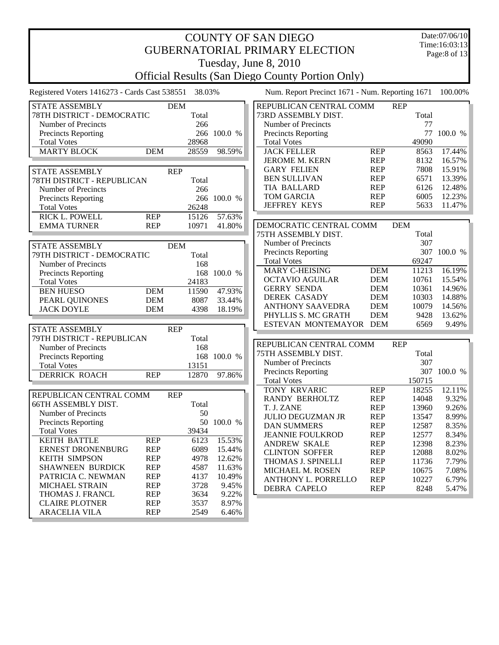| <b>COUNTY OF SAN DIEGO</b>                    |            |            |             |                                                         |            |            |                               |  |  |
|-----------------------------------------------|------------|------------|-------------|---------------------------------------------------------|------------|------------|-------------------------------|--|--|
|                                               |            |            |             | <b>GUBERNATORIAL PRIMARY ELECTION</b>                   |            |            | Time:16:03:13<br>Page:8 of 13 |  |  |
|                                               |            |            |             | Tuesday, June 8, 2010                                   |            |            |                               |  |  |
|                                               |            |            |             | <b>Official Results (San Diego County Portion Only)</b> |            |            |                               |  |  |
| Registered Voters 1416273 - Cards Cast 538551 |            | 38.03%     |             | Num. Report Precinct 1671 - Num. Reporting 1671         |            |            | 100.00%                       |  |  |
| <b>STATE ASSEMBLY</b>                         |            | <b>DEM</b> |             | REPUBLICAN CENTRAL COMM                                 |            | <b>REP</b> |                               |  |  |
| 78TH DISTRICT - DEMOCRATIC                    |            | Total      |             | 73RD ASSEMBLY DIST.                                     |            | Total      |                               |  |  |
| Number of Precincts                           |            | 266        |             | Number of Precincts                                     |            | 77         |                               |  |  |
| <b>Precincts Reporting</b>                    |            |            | 266 100.0 % | <b>Precincts Reporting</b>                              |            | 77         | 100.0 %                       |  |  |
| <b>Total Votes</b>                            |            | 28968      |             | <b>Total Votes</b>                                      |            | 49090      |                               |  |  |
| <b>MARTY BLOCK</b>                            | <b>DEM</b> | 28559      | 98.59%      | <b>JACK FELLER</b>                                      | <b>REP</b> | 8563       | 17.44%                        |  |  |
|                                               |            |            |             | JEROME M. KERN                                          | <b>REP</b> | 8132       | 16.57%                        |  |  |
| STATE ASSEMBLY                                |            | <b>REP</b> |             | <b>GARY FELIEN</b>                                      | <b>REP</b> | 7808       | 15.91%                        |  |  |
| 78TH DISTRICT - REPUBLICAN                    |            | Total      |             | <b>BEN SULLIVAN</b>                                     | <b>REP</b> | 6571       | 13.39%                        |  |  |
| Number of Precincts                           |            | 266        |             | <b>TIA BALLARD</b>                                      | <b>REP</b> | 6126       | 12.48%                        |  |  |
| <b>Precincts Reporting</b>                    |            |            | 266 100.0 % | <b>TOM GARCIA</b>                                       | <b>REP</b> | 6005       | 12.23%                        |  |  |
| <b>Total Votes</b>                            |            | 26248      |             | <b>JEFFREY KEYS</b>                                     | <b>REP</b> | 5633       | 11.47%                        |  |  |
| <b>RICK L. POWELL</b>                         | <b>REP</b> | 15126      | 57.63%      |                                                         |            |            |                               |  |  |
| <b>EMMA TURNER</b>                            | <b>REP</b> | 10971      | 41.80%      | DEMOCRATIC CENTRAL COMM                                 |            | <b>DEM</b> |                               |  |  |
|                                               |            |            |             | 75TH ASSEMBLY DIST.                                     |            | Total      |                               |  |  |
| <b>STATE ASSEMBLY</b>                         |            | <b>DEM</b> |             | Number of Precincts                                     |            | 307        |                               |  |  |
| 79TH DISTRICT - DEMOCRATIC                    |            | Total      |             | <b>Precincts Reporting</b>                              |            |            | 307 100.0 %                   |  |  |
| Number of Precincts                           |            | 168        |             | <b>Total Votes</b>                                      |            | 69247      |                               |  |  |
| Precincts Reporting                           |            |            | 168 100.0 % | <b>MARY C-HEISING</b>                                   | <b>DEM</b> | 11213      | 16.19%                        |  |  |
| <b>Total Votes</b>                            |            | 24183      |             | <b>OCTAVIO AGUILAR</b>                                  | <b>DEM</b> | 10761      | 15.54%                        |  |  |
| <b>BEN HUESO</b>                              | <b>DEM</b> | 11590      | 47.93%      | <b>GERRY SENDA</b>                                      | <b>DEM</b> | 10361      | 14.96%                        |  |  |
| PEARL QUINONES                                | <b>DEM</b> | 8087       | 33.44%      | <b>DEREK CASADY</b>                                     | <b>DEM</b> | 10303      | 14.88%                        |  |  |
| <b>JACK DOYLE</b>                             | <b>DEM</b> | 4398       | 18.19%      | <b>ANTHONY SAAVEDRA</b>                                 | <b>DEM</b> | 10079      | 14.56%                        |  |  |
|                                               |            |            |             | PHYLLIS S. MC GRATH                                     | <b>DEM</b> | 9428       | 13.62%                        |  |  |
|                                               |            |            |             | ESTEVAN MONTEMAYOR DEM                                  |            | 6569       | 9.49%                         |  |  |
| <b>STATE ASSEMBLY</b>                         |            | <b>REP</b> |             |                                                         |            |            |                               |  |  |
| 79TH DISTRICT - REPUBLICAN                    |            | Total      |             | REPUBLICAN CENTRAL COMM                                 |            | <b>REP</b> |                               |  |  |
| Number of Precincts                           |            | 168        |             | 75TH ASSEMBLY DIST.                                     |            | Total      |                               |  |  |
| Precincts Reporting                           |            |            | 168 100.0 % | Number of Precincts                                     |            | 307        |                               |  |  |
| <b>Total Votes</b>                            |            | 13151      |             | <b>Precincts Reporting</b>                              |            |            | 307 100.0 %                   |  |  |
| <b>DERRICK ROACH</b>                          | <b>REP</b> | 12870      | 97.86%      | <b>Total Votes</b>                                      |            | 150715     |                               |  |  |
|                                               |            |            |             | TONY KRVARIC                                            | <b>REP</b> | 18255      | 12.11%                        |  |  |
| REPUBLICAN CENTRAL COMM                       |            | <b>REP</b> |             | RANDY BERHOLTZ                                          | <b>REP</b> | 14048      | 9.32%                         |  |  |
| 66TH ASSEMBLY DIST.                           |            | Total      |             | T. J. ZANE                                              | <b>REP</b> | 13960      | 9.26%                         |  |  |
| Number of Precincts                           |            | 50         |             | <b>JULIO DEGUZMAN JR</b>                                | <b>REP</b> | 13547      | 8.99%                         |  |  |
| <b>Precincts Reporting</b>                    |            |            | 50 100.0 %  | <b>DAN SUMMERS</b>                                      | <b>REP</b> | 12587      | 8.35%                         |  |  |
| <b>Total Votes</b>                            |            | 39434      |             | <b>JEANNIE FOULKROD</b>                                 | <b>REP</b> | 12577      | 8.34%                         |  |  |
| KEITH BATTLE                                  | <b>REP</b> | 6123       | 15.53%      | <b>ANDREW SKALE</b>                                     | <b>REP</b> | 12398      | 8.23%                         |  |  |
| ERNEST DRONENBURG                             | <b>REP</b> | 6089       | 15.44%      | <b>CLINTON SOFFER</b>                                   | <b>REP</b> | 12088      | 8.02%                         |  |  |
| <b>KEITH SIMPSON</b>                          | <b>REP</b> | 4978       | 12.62%      | THOMAS J. SPINELLI                                      | <b>REP</b> | 11736      | 7.79%                         |  |  |
| SHAWNEEN BURDICK                              | <b>REP</b> | 4587       | 11.63%      | MICHAEL M. ROSEN                                        | <b>REP</b> | 10675      | 7.08%                         |  |  |
| PATRICIA C. NEWMAN                            | <b>REP</b> | 4137       | 10.49%      | ANTHONY L. PORRELLO                                     | <b>REP</b> | 10227      | 6.79%                         |  |  |
| <b>MICHAEL STRAIN</b>                         | <b>REP</b> | 3728       | 9.45%       | <b>DEBRA CAPELO</b>                                     | <b>REP</b> | 8248       | 5.47%                         |  |  |

MICHAEL STRAIN REP 3728 9.45% THOMAS J. FRANCL REP 3634 9.22%<br>CLAIRE PLOTNER REP 3537 8.97%

ARACELIA VILA REP 2549 6.46%

CLAIRE PLOTNER REP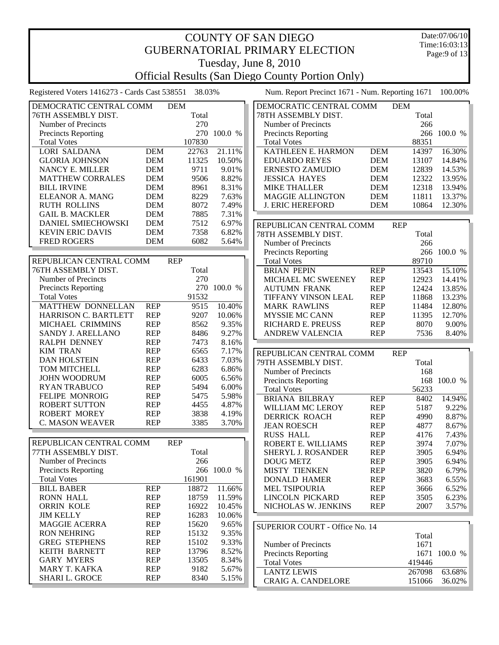| <b>COUNTY OF SAN DIEGO</b><br><b>GUBERNATORIAL PRIMARY ELECTION</b> |                          |                     |                |                                                                                  |                          |                     |                  |  |
|---------------------------------------------------------------------|--------------------------|---------------------|----------------|----------------------------------------------------------------------------------|--------------------------|---------------------|------------------|--|
|                                                                     |                          |                     |                | Tuesday, June 8, 2010<br><b>Official Results (San Diego County Portion Only)</b> |                          |                     |                  |  |
| Registered Voters 1416273 - Cards Cast 538551 38.03%                |                          |                     |                | Num. Report Precinct 1671 - Num. Reporting 1671                                  |                          |                     | 100.00%          |  |
| DEMOCRATIC CENTRAL COMM<br>76TH ASSEMBLY DIST.                      |                          | <b>DEM</b><br>Total |                | DEMOCRATIC CENTRAL COMM<br>78TH ASSEMBLY DIST.                                   |                          | <b>DEM</b><br>Total |                  |  |
| Number of Precincts                                                 |                          | 270                 |                | Number of Precincts                                                              |                          | 266                 |                  |  |
| <b>Precincts Reporting</b>                                          |                          |                     | 270 100.0 %    | <b>Precincts Reporting</b>                                                       |                          |                     | 266 100.0 %      |  |
| <b>Total Votes</b>                                                  |                          | 107830              |                | <b>Total Votes</b>                                                               |                          | 88351               |                  |  |
| <b>LORI SALDANA</b>                                                 | <b>DEM</b>               | 22763               | 21.11%         | KATHLEEN E. HARMON                                                               | <b>DEM</b>               | 14397               | 16.30%           |  |
| <b>GLORIA JOHNSON</b>                                               | <b>DEM</b>               | 11325               | 10.50%         | <b>EDUARDO REYES</b>                                                             | <b>DEM</b>               | 13107               | 14.84%           |  |
| NANCY E. MILLER                                                     | <b>DEM</b><br><b>DEM</b> | 9711<br>9506        | 9.01%<br>8.82% | <b>ERNESTO ZAMUDIO</b>                                                           | <b>DEM</b>               | 12839<br>12322      | 14.53%           |  |
| <b>MATTHEW CORRALES</b><br><b>BILL IRVINE</b>                       | <b>DEM</b>               | 8961                | 8.31%          | <b>JESSICA HAYES</b><br><b>MIKE THALLER</b>                                      | <b>DEM</b><br><b>DEM</b> | 12318               | 13.95%<br>13.94% |  |
| <b>ELEANOR A. MANG</b>                                              | <b>DEM</b>               | 8229                | 7.63%          | <b>MAGGIE ALLINGTON</b>                                                          | <b>DEM</b>               | 11811               | 13.37%           |  |
| <b>RUTH ROLLINS</b>                                                 | <b>DEM</b>               | 8072                | 7.49%          | <b>J. ERIC HEREFORD</b>                                                          | <b>DEM</b>               | 10864               | 12.30%           |  |
| <b>GAIL B. MACKLER</b>                                              | <b>DEM</b>               | 7885                | 7.31%          |                                                                                  |                          |                     |                  |  |
| <b>DANIEL SMIECHOWSKI</b>                                           | <b>DEM</b>               | 7512                | 6.97%          | REPUBLICAN CENTRAL COMM                                                          |                          | <b>REP</b>          |                  |  |
| <b>KEVIN ERIC DAVIS</b>                                             | <b>DEM</b>               | 7358                | 6.82%          | 78TH ASSEMBLY DIST.                                                              |                          | Total               |                  |  |
| <b>FRED ROGERS</b>                                                  | <b>DEM</b>               | 6082                | 5.64%          | Number of Precincts                                                              |                          | 266                 |                  |  |
|                                                                     |                          |                     |                | Precincts Reporting                                                              |                          |                     | 266 100.0 %      |  |
| REPUBLICAN CENTRAL COMM                                             |                          | <b>REP</b>          |                | <b>Total Votes</b>                                                               |                          | 89710               |                  |  |
| 76TH ASSEMBLY DIST.<br>Number of Precincts                          |                          | Total<br>270        |                | <b>BRIAN PEPIN</b>                                                               | <b>REP</b><br><b>REP</b> | 13543               | 15.10%           |  |
| <b>Precincts Reporting</b>                                          |                          |                     | 270 100.0 %    | MICHAEL MC SWEENEY<br><b>AUTUMN FRANK</b>                                        | <b>REP</b>               | 12923<br>12424      | 14.41%<br>13.85% |  |
| <b>Total Votes</b>                                                  |                          | 91532               |                | TIFFANY VINSON LEAL                                                              | <b>REP</b>               | 11868               | 13.23%           |  |
| MATTHEW DONNELLAN                                                   | <b>REP</b>               | 9515                | 10.40%         | <b>MARK RAWLINS</b>                                                              | <b>REP</b>               | 11484               | 12.80%           |  |
| <b>HARRISON C. BARTLETT</b>                                         | <b>REP</b>               | 9207                | 10.06%         | MYSSIE MC CANN                                                                   | <b>REP</b>               | 11395               | 12.70%           |  |
| MICHAEL CRIMMINS                                                    | <b>REP</b>               | 8562                | 9.35%          | RICHARD E. PREUSS                                                                | <b>REP</b>               | 8070                | 9.00%            |  |
| SANDY J. ARELLANO                                                   | <b>REP</b>               | 8486                | 9.27%          | ANDREW VALENCIA                                                                  | <b>REP</b>               | 7536                | 8.40%            |  |
| RALPH DENNEY                                                        | <b>REP</b>               | 7473                | 8.16%          |                                                                                  |                          |                     |                  |  |
| <b>KIM TRAN</b>                                                     | <b>REP</b>               | 6565                | 7.17%          | REPUBLICAN CENTRAL COMM                                                          |                          | <b>REP</b>          |                  |  |
| <b>DAN HOLSTEIN</b><br>TOM MITCHELL                                 | <b>REP</b><br><b>REP</b> | 6433<br>6283        | 7.03%<br>6.86% | 79TH ASSEMBLY DIST.                                                              |                          | Total               |                  |  |
| <b>JOHN WOODRUM</b>                                                 | <b>REP</b>               | 6005                | 6.56%          | Number of Precincts                                                              |                          | 168                 |                  |  |
| <b>RYAN TRABUCO</b>                                                 | <b>REP</b>               | 5494                | 6.00%          | <b>Precincts Reporting</b>                                                       |                          | 56233               | 168 100.0 %      |  |
| <b>FELIPE MONROIG</b>                                               | <b>REP</b>               | 5475                | 5.98%          | <b>Total Votes</b><br><b>BRIANA BILBRAY</b>                                      | <b>REP</b>               | 8402                | 14.94%           |  |
| <b>ROBERT SUTTON</b>                                                | <b>REP</b>               | 4455                | 4.87%          | <b>WILLIAM MC LEROY</b>                                                          | <b>REP</b>               | 5187                | 9.22%            |  |
| <b>ROBERT MOREY</b>                                                 | <b>REP</b>               | 3838                | 4.19%          | <b>DERRICK ROACH</b>                                                             | <b>REP</b>               | 4990                | 8.87%            |  |
| <b>C. MASON WEAVER</b>                                              | <b>REP</b>               | 3385                | 3.70%          | <b>JEAN ROESCH</b>                                                               | <b>REP</b>               | 4877                | 8.67%            |  |
|                                                                     |                          |                     |                | <b>RUSS HALL</b>                                                                 | <b>REP</b>               | 4176                | 7.43%            |  |
| REPUBLICAN CENTRAL COMM                                             |                          | <b>REP</b>          |                | ROBERT E. WILLIAMS                                                               | <b>REP</b>               | 3974                | 7.07%            |  |
| 77TH ASSEMBLY DIST.                                                 |                          | Total               |                | <b>SHERYL J. ROSANDER</b>                                                        | <b>REP</b>               | 3905                | 6.94%            |  |
| Number of Precincts                                                 |                          | 266                 | 266 100.0 %    | <b>DOUG METZ</b>                                                                 | <b>REP</b>               | 3905                | 6.94%            |  |
| <b>Precincts Reporting</b><br><b>Total Votes</b>                    |                          | 161901              |                | <b>MISTY TIENKEN</b><br><b>DONALD HAMER</b>                                      | <b>REP</b><br><b>REP</b> | 3820<br>3683        | 6.79%<br>6.55%   |  |
| <b>BILL BABER</b>                                                   | <b>REP</b>               | 18872               | 11.66%         | MEL TSIPOURIA                                                                    | <b>REP</b>               | 3666                | 6.52%            |  |
| <b>RONN HALL</b>                                                    | <b>REP</b>               | 18759               | 11.59%         | LINCOLN PICKARD                                                                  | <b>REP</b>               | 3505                | 6.23%            |  |
| <b>ORRIN KOLE</b>                                                   | <b>REP</b>               | 16922               | 10.45%         | NICHOLAS W. JENKINS                                                              | <b>REP</b>               | 2007                | 3.57%            |  |
| <b>JIM KELLY</b>                                                    | <b>REP</b>               | 16283               | 10.06%         |                                                                                  |                          |                     |                  |  |
| <b>MAGGIE ACERRA</b>                                                | <b>REP</b>               | 15620               | 9.65%          | SUPERIOR COURT - Office No. 14                                                   |                          |                     |                  |  |
| <b>RON NEHRING</b>                                                  | <b>REP</b>               | 15132               | 9.35%          |                                                                                  |                          | Total               |                  |  |
| <b>GREG STEPHENS</b>                                                | <b>REP</b>               | 15102               | 9.33%          | Number of Precincts                                                              |                          | 1671                |                  |  |
| <b>KEITH BARNETT</b>                                                | <b>REP</b>               | 13796               | 8.52%          | <b>Precincts Reporting</b>                                                       |                          |                     | 1671 100.0 %     |  |
| <b>GARY MYERS</b><br>MARY T. KAFKA                                  | <b>REP</b><br><b>REP</b> | 13505<br>9182       | 8.34%<br>5.67% | <b>Total Votes</b>                                                               |                          | 419446              |                  |  |
| SHARI L. GROCE                                                      | <b>REP</b>               | 8340                | 5.15%          | <b>LANTZ LEWIS</b>                                                               |                          | 267098              | 63.68%           |  |
|                                                                     |                          |                     |                | <b>CRAIG A. CANDELORE</b>                                                        |                          | 151066              | 36.02%           |  |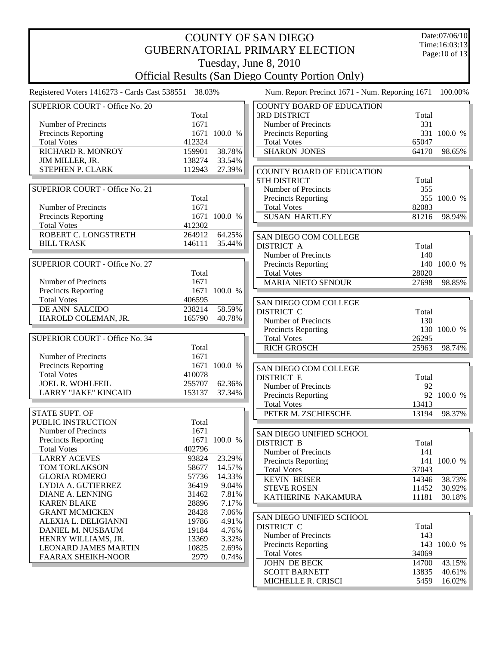| Time:16:03:13<br><b>GUBERNATORIAL PRIMARY ELECTION</b><br>Page: 10 of 13<br>Tuesday, June 8, 2010<br><b>Official Results (San Diego County Portion Only)</b><br>Registered Voters 1416273 - Cards Cast 538551 38.03%<br>Num. Report Precinct 1671 - Num. Reporting 1671<br>100.00%<br><b>SUPERIOR COURT - Office No. 20</b><br><b>COUNTY BOARD OF EDUCATION</b><br><b>3RD DISTRICT</b><br>Total<br>Total<br>331<br>Number of Precincts<br>1671<br>Number of Precincts<br><b>Precincts Reporting</b><br>1671 100.0 %<br>331 100.0 %<br>Precincts Reporting<br><b>Total Votes</b><br>412324<br><b>Total Votes</b><br>65047<br>RICHARD R. MONROY<br>38.78%<br><b>SHARON JONES</b><br>98.65%<br>159901<br>64170<br>JIM MILLER, JR.<br>138274<br>33.54%<br>STEPHEN P. CLARK<br>112943<br>27.39%<br>COUNTY BOARD OF EDUCATION<br><b>5TH DISTRICT</b><br>Total<br>SUPERIOR COURT - Office No. 21<br>Number of Precincts<br>355<br>355 100.0 %<br>Total<br><b>Precincts Reporting</b><br>Number of Precincts<br>1671<br><b>Total Votes</b><br>82083<br>Precincts Reporting<br>1671 100.0 %<br><b>SUSAN HARTLEY</b><br>81216<br>98.94%<br>412302<br><b>Total Votes</b><br>ROBERT C. LONGSTRETH<br>264912<br>64.25%<br>SAN DIEGO COM COLLEGE<br><b>BILL TRASK</b><br>146111<br>35.44%<br><b>DISTRICT A</b><br>Total<br>Number of Precincts<br>140<br><b>SUPERIOR COURT - Office No. 27</b><br>140 100.0 %<br>Precincts Reporting<br>28020<br>Total<br><b>Total Votes</b><br>Number of Precincts<br>1671<br><b>MARIA NIETO SENOUR</b><br>27698<br>98.85%<br>1671 100.0 %<br>Precincts Reporting<br><b>Total Votes</b><br>406595<br>SAN DIEGO COM COLLEGE<br>DE ANN SALCIDO<br>238214<br>58.59%<br><b>DISTRICT C</b><br>Total<br>HAROLD COLEMAN, JR.<br>165790<br>40.78%<br>Number of Precincts<br>130<br>130 100.0 %<br><b>Precincts Reporting</b><br>SUPERIOR COURT - Office No. 34<br><b>Total Votes</b><br>26295<br>Total<br><b>RICH GROSCH</b><br>25963<br>98.74%<br>Number of Precincts<br>1671<br>Precincts Reporting<br>1671 100.0 %<br>SAN DIEGO COM COLLEGE<br><b>Total Votes</b><br>410078<br><b>DISTRICT E</b><br>Total<br><b>JOEL R. WOHLFEIL</b><br>255707<br>62.36%<br>Number of Precincts<br>92<br><b>LARRY "JAKE" KINCAID</b><br>37.34%<br>153137<br>92 100.0 %<br>Precincts Reporting<br><b>Total Votes</b><br>13413<br><b>STATE SUPT. OF</b><br>PETER M. ZSCHIESCHE<br>13194<br>98.37%<br>Total<br>PUBLIC INSTRUCTION<br>Number of Precincts<br>1671<br>SAN DIEGO UNIFIED SCHOOL<br>1671 100.0 %<br><b>Precincts Reporting</b><br><b>DISTRICT B</b><br>Total<br>402796<br><b>Total Votes</b><br>Number of Precincts<br>141<br><b>LARRY ACEVES</b><br>23.29%<br>93824<br>141 100.0 %<br><b>Precincts Reporting</b><br>TOM TORLAKSON<br>14.57%<br>58677<br>37043<br><b>Total Votes</b><br><b>GLORIA ROMERO</b><br>57736<br>14.33%<br><b>KEVIN BEISER</b><br>38.73%<br>14346<br>36419<br>LYDIA A. GUTIERREZ<br>9.04%<br><b>STEVE ROSEN</b><br>11452<br>30.92%<br>31462<br>DIANE A. LENNING<br>7.81%<br>30.18%<br>KATHERINE NAKAMURA<br>11181<br><b>KAREN BLAKE</b><br>28896<br>7.17%<br>28428<br>7.06%<br><b>GRANT MCMICKEN</b><br>SAN DIEGO UNIFIED SCHOOL<br>19786<br>4.91%<br>ALEXIA L. DELIGIANNI<br>DISTRICT C<br>Total<br>DANIEL M. NUSBAUM<br>19184<br>4.76%<br>Number of Precincts<br>143<br>13369<br>3.32%<br>HENRY WILLIAMS, JR.<br><b>Precincts Reporting</b><br>143 100.0 %<br><b>LEONARD JAMES MARTIN</b><br>10825<br>2.69%<br><b>Total Votes</b><br>34069<br>2979<br><b>FAARAX SHEIKH-NOOR</b><br>0.74%<br>43.15%<br>JOHN DE BECK<br>14700<br><b>SCOTT BARNETT</b><br>13835<br>40.61%<br>MICHELLE R. CRISCI<br>5459<br>16.02% |  | <b>COUNTY OF SAN DIEGO</b> | Date:07/06/10 |
|-------------------------------------------------------------------------------------------------------------------------------------------------------------------------------------------------------------------------------------------------------------------------------------------------------------------------------------------------------------------------------------------------------------------------------------------------------------------------------------------------------------------------------------------------------------------------------------------------------------------------------------------------------------------------------------------------------------------------------------------------------------------------------------------------------------------------------------------------------------------------------------------------------------------------------------------------------------------------------------------------------------------------------------------------------------------------------------------------------------------------------------------------------------------------------------------------------------------------------------------------------------------------------------------------------------------------------------------------------------------------------------------------------------------------------------------------------------------------------------------------------------------------------------------------------------------------------------------------------------------------------------------------------------------------------------------------------------------------------------------------------------------------------------------------------------------------------------------------------------------------------------------------------------------------------------------------------------------------------------------------------------------------------------------------------------------------------------------------------------------------------------------------------------------------------------------------------------------------------------------------------------------------------------------------------------------------------------------------------------------------------------------------------------------------------------------------------------------------------------------------------------------------------------------------------------------------------------------------------------------------------------------------------------------------------------------------------------------------------------------------------------------------------------------------------------------------------------------------------------------------------------------------------------------------------------------------------------------------------------------------------------------------------------------------------------------------------------------------------------------------------------------------------------------------------------------------------------------------------------------------------------------------------------------------------------------------------------------------------------------------------------------------------------------------------------------------------------------------------------------------------------------------------------------------------------------------------------------------------------------------------------------------|--|----------------------------|---------------|
|                                                                                                                                                                                                                                                                                                                                                                                                                                                                                                                                                                                                                                                                                                                                                                                                                                                                                                                                                                                                                                                                                                                                                                                                                                                                                                                                                                                                                                                                                                                                                                                                                                                                                                                                                                                                                                                                                                                                                                                                                                                                                                                                                                                                                                                                                                                                                                                                                                                                                                                                                                                                                                                                                                                                                                                                                                                                                                                                                                                                                                                                                                                                                                                                                                                                                                                                                                                                                                                                                                                                                                                                                                                 |  |                            |               |
|                                                                                                                                                                                                                                                                                                                                                                                                                                                                                                                                                                                                                                                                                                                                                                                                                                                                                                                                                                                                                                                                                                                                                                                                                                                                                                                                                                                                                                                                                                                                                                                                                                                                                                                                                                                                                                                                                                                                                                                                                                                                                                                                                                                                                                                                                                                                                                                                                                                                                                                                                                                                                                                                                                                                                                                                                                                                                                                                                                                                                                                                                                                                                                                                                                                                                                                                                                                                                                                                                                                                                                                                                                                 |  |                            |               |
|                                                                                                                                                                                                                                                                                                                                                                                                                                                                                                                                                                                                                                                                                                                                                                                                                                                                                                                                                                                                                                                                                                                                                                                                                                                                                                                                                                                                                                                                                                                                                                                                                                                                                                                                                                                                                                                                                                                                                                                                                                                                                                                                                                                                                                                                                                                                                                                                                                                                                                                                                                                                                                                                                                                                                                                                                                                                                                                                                                                                                                                                                                                                                                                                                                                                                                                                                                                                                                                                                                                                                                                                                                                 |  |                            |               |
|                                                                                                                                                                                                                                                                                                                                                                                                                                                                                                                                                                                                                                                                                                                                                                                                                                                                                                                                                                                                                                                                                                                                                                                                                                                                                                                                                                                                                                                                                                                                                                                                                                                                                                                                                                                                                                                                                                                                                                                                                                                                                                                                                                                                                                                                                                                                                                                                                                                                                                                                                                                                                                                                                                                                                                                                                                                                                                                                                                                                                                                                                                                                                                                                                                                                                                                                                                                                                                                                                                                                                                                                                                                 |  |                            |               |
|                                                                                                                                                                                                                                                                                                                                                                                                                                                                                                                                                                                                                                                                                                                                                                                                                                                                                                                                                                                                                                                                                                                                                                                                                                                                                                                                                                                                                                                                                                                                                                                                                                                                                                                                                                                                                                                                                                                                                                                                                                                                                                                                                                                                                                                                                                                                                                                                                                                                                                                                                                                                                                                                                                                                                                                                                                                                                                                                                                                                                                                                                                                                                                                                                                                                                                                                                                                                                                                                                                                                                                                                                                                 |  |                            |               |
|                                                                                                                                                                                                                                                                                                                                                                                                                                                                                                                                                                                                                                                                                                                                                                                                                                                                                                                                                                                                                                                                                                                                                                                                                                                                                                                                                                                                                                                                                                                                                                                                                                                                                                                                                                                                                                                                                                                                                                                                                                                                                                                                                                                                                                                                                                                                                                                                                                                                                                                                                                                                                                                                                                                                                                                                                                                                                                                                                                                                                                                                                                                                                                                                                                                                                                                                                                                                                                                                                                                                                                                                                                                 |  |                            |               |
|                                                                                                                                                                                                                                                                                                                                                                                                                                                                                                                                                                                                                                                                                                                                                                                                                                                                                                                                                                                                                                                                                                                                                                                                                                                                                                                                                                                                                                                                                                                                                                                                                                                                                                                                                                                                                                                                                                                                                                                                                                                                                                                                                                                                                                                                                                                                                                                                                                                                                                                                                                                                                                                                                                                                                                                                                                                                                                                                                                                                                                                                                                                                                                                                                                                                                                                                                                                                                                                                                                                                                                                                                                                 |  |                            |               |
|                                                                                                                                                                                                                                                                                                                                                                                                                                                                                                                                                                                                                                                                                                                                                                                                                                                                                                                                                                                                                                                                                                                                                                                                                                                                                                                                                                                                                                                                                                                                                                                                                                                                                                                                                                                                                                                                                                                                                                                                                                                                                                                                                                                                                                                                                                                                                                                                                                                                                                                                                                                                                                                                                                                                                                                                                                                                                                                                                                                                                                                                                                                                                                                                                                                                                                                                                                                                                                                                                                                                                                                                                                                 |  |                            |               |
|                                                                                                                                                                                                                                                                                                                                                                                                                                                                                                                                                                                                                                                                                                                                                                                                                                                                                                                                                                                                                                                                                                                                                                                                                                                                                                                                                                                                                                                                                                                                                                                                                                                                                                                                                                                                                                                                                                                                                                                                                                                                                                                                                                                                                                                                                                                                                                                                                                                                                                                                                                                                                                                                                                                                                                                                                                                                                                                                                                                                                                                                                                                                                                                                                                                                                                                                                                                                                                                                                                                                                                                                                                                 |  |                            |               |
|                                                                                                                                                                                                                                                                                                                                                                                                                                                                                                                                                                                                                                                                                                                                                                                                                                                                                                                                                                                                                                                                                                                                                                                                                                                                                                                                                                                                                                                                                                                                                                                                                                                                                                                                                                                                                                                                                                                                                                                                                                                                                                                                                                                                                                                                                                                                                                                                                                                                                                                                                                                                                                                                                                                                                                                                                                                                                                                                                                                                                                                                                                                                                                                                                                                                                                                                                                                                                                                                                                                                                                                                                                                 |  |                            |               |
|                                                                                                                                                                                                                                                                                                                                                                                                                                                                                                                                                                                                                                                                                                                                                                                                                                                                                                                                                                                                                                                                                                                                                                                                                                                                                                                                                                                                                                                                                                                                                                                                                                                                                                                                                                                                                                                                                                                                                                                                                                                                                                                                                                                                                                                                                                                                                                                                                                                                                                                                                                                                                                                                                                                                                                                                                                                                                                                                                                                                                                                                                                                                                                                                                                                                                                                                                                                                                                                                                                                                                                                                                                                 |  |                            |               |
|                                                                                                                                                                                                                                                                                                                                                                                                                                                                                                                                                                                                                                                                                                                                                                                                                                                                                                                                                                                                                                                                                                                                                                                                                                                                                                                                                                                                                                                                                                                                                                                                                                                                                                                                                                                                                                                                                                                                                                                                                                                                                                                                                                                                                                                                                                                                                                                                                                                                                                                                                                                                                                                                                                                                                                                                                                                                                                                                                                                                                                                                                                                                                                                                                                                                                                                                                                                                                                                                                                                                                                                                                                                 |  |                            |               |
|                                                                                                                                                                                                                                                                                                                                                                                                                                                                                                                                                                                                                                                                                                                                                                                                                                                                                                                                                                                                                                                                                                                                                                                                                                                                                                                                                                                                                                                                                                                                                                                                                                                                                                                                                                                                                                                                                                                                                                                                                                                                                                                                                                                                                                                                                                                                                                                                                                                                                                                                                                                                                                                                                                                                                                                                                                                                                                                                                                                                                                                                                                                                                                                                                                                                                                                                                                                                                                                                                                                                                                                                                                                 |  |                            |               |
|                                                                                                                                                                                                                                                                                                                                                                                                                                                                                                                                                                                                                                                                                                                                                                                                                                                                                                                                                                                                                                                                                                                                                                                                                                                                                                                                                                                                                                                                                                                                                                                                                                                                                                                                                                                                                                                                                                                                                                                                                                                                                                                                                                                                                                                                                                                                                                                                                                                                                                                                                                                                                                                                                                                                                                                                                                                                                                                                                                                                                                                                                                                                                                                                                                                                                                                                                                                                                                                                                                                                                                                                                                                 |  |                            |               |
|                                                                                                                                                                                                                                                                                                                                                                                                                                                                                                                                                                                                                                                                                                                                                                                                                                                                                                                                                                                                                                                                                                                                                                                                                                                                                                                                                                                                                                                                                                                                                                                                                                                                                                                                                                                                                                                                                                                                                                                                                                                                                                                                                                                                                                                                                                                                                                                                                                                                                                                                                                                                                                                                                                                                                                                                                                                                                                                                                                                                                                                                                                                                                                                                                                                                                                                                                                                                                                                                                                                                                                                                                                                 |  |                            |               |
|                                                                                                                                                                                                                                                                                                                                                                                                                                                                                                                                                                                                                                                                                                                                                                                                                                                                                                                                                                                                                                                                                                                                                                                                                                                                                                                                                                                                                                                                                                                                                                                                                                                                                                                                                                                                                                                                                                                                                                                                                                                                                                                                                                                                                                                                                                                                                                                                                                                                                                                                                                                                                                                                                                                                                                                                                                                                                                                                                                                                                                                                                                                                                                                                                                                                                                                                                                                                                                                                                                                                                                                                                                                 |  |                            |               |
|                                                                                                                                                                                                                                                                                                                                                                                                                                                                                                                                                                                                                                                                                                                                                                                                                                                                                                                                                                                                                                                                                                                                                                                                                                                                                                                                                                                                                                                                                                                                                                                                                                                                                                                                                                                                                                                                                                                                                                                                                                                                                                                                                                                                                                                                                                                                                                                                                                                                                                                                                                                                                                                                                                                                                                                                                                                                                                                                                                                                                                                                                                                                                                                                                                                                                                                                                                                                                                                                                                                                                                                                                                                 |  |                            |               |
|                                                                                                                                                                                                                                                                                                                                                                                                                                                                                                                                                                                                                                                                                                                                                                                                                                                                                                                                                                                                                                                                                                                                                                                                                                                                                                                                                                                                                                                                                                                                                                                                                                                                                                                                                                                                                                                                                                                                                                                                                                                                                                                                                                                                                                                                                                                                                                                                                                                                                                                                                                                                                                                                                                                                                                                                                                                                                                                                                                                                                                                                                                                                                                                                                                                                                                                                                                                                                                                                                                                                                                                                                                                 |  |                            |               |
|                                                                                                                                                                                                                                                                                                                                                                                                                                                                                                                                                                                                                                                                                                                                                                                                                                                                                                                                                                                                                                                                                                                                                                                                                                                                                                                                                                                                                                                                                                                                                                                                                                                                                                                                                                                                                                                                                                                                                                                                                                                                                                                                                                                                                                                                                                                                                                                                                                                                                                                                                                                                                                                                                                                                                                                                                                                                                                                                                                                                                                                                                                                                                                                                                                                                                                                                                                                                                                                                                                                                                                                                                                                 |  |                            |               |
|                                                                                                                                                                                                                                                                                                                                                                                                                                                                                                                                                                                                                                                                                                                                                                                                                                                                                                                                                                                                                                                                                                                                                                                                                                                                                                                                                                                                                                                                                                                                                                                                                                                                                                                                                                                                                                                                                                                                                                                                                                                                                                                                                                                                                                                                                                                                                                                                                                                                                                                                                                                                                                                                                                                                                                                                                                                                                                                                                                                                                                                                                                                                                                                                                                                                                                                                                                                                                                                                                                                                                                                                                                                 |  |                            |               |
|                                                                                                                                                                                                                                                                                                                                                                                                                                                                                                                                                                                                                                                                                                                                                                                                                                                                                                                                                                                                                                                                                                                                                                                                                                                                                                                                                                                                                                                                                                                                                                                                                                                                                                                                                                                                                                                                                                                                                                                                                                                                                                                                                                                                                                                                                                                                                                                                                                                                                                                                                                                                                                                                                                                                                                                                                                                                                                                                                                                                                                                                                                                                                                                                                                                                                                                                                                                                                                                                                                                                                                                                                                                 |  |                            |               |
|                                                                                                                                                                                                                                                                                                                                                                                                                                                                                                                                                                                                                                                                                                                                                                                                                                                                                                                                                                                                                                                                                                                                                                                                                                                                                                                                                                                                                                                                                                                                                                                                                                                                                                                                                                                                                                                                                                                                                                                                                                                                                                                                                                                                                                                                                                                                                                                                                                                                                                                                                                                                                                                                                                                                                                                                                                                                                                                                                                                                                                                                                                                                                                                                                                                                                                                                                                                                                                                                                                                                                                                                                                                 |  |                            |               |
|                                                                                                                                                                                                                                                                                                                                                                                                                                                                                                                                                                                                                                                                                                                                                                                                                                                                                                                                                                                                                                                                                                                                                                                                                                                                                                                                                                                                                                                                                                                                                                                                                                                                                                                                                                                                                                                                                                                                                                                                                                                                                                                                                                                                                                                                                                                                                                                                                                                                                                                                                                                                                                                                                                                                                                                                                                                                                                                                                                                                                                                                                                                                                                                                                                                                                                                                                                                                                                                                                                                                                                                                                                                 |  |                            |               |
|                                                                                                                                                                                                                                                                                                                                                                                                                                                                                                                                                                                                                                                                                                                                                                                                                                                                                                                                                                                                                                                                                                                                                                                                                                                                                                                                                                                                                                                                                                                                                                                                                                                                                                                                                                                                                                                                                                                                                                                                                                                                                                                                                                                                                                                                                                                                                                                                                                                                                                                                                                                                                                                                                                                                                                                                                                                                                                                                                                                                                                                                                                                                                                                                                                                                                                                                                                                                                                                                                                                                                                                                                                                 |  |                            |               |
|                                                                                                                                                                                                                                                                                                                                                                                                                                                                                                                                                                                                                                                                                                                                                                                                                                                                                                                                                                                                                                                                                                                                                                                                                                                                                                                                                                                                                                                                                                                                                                                                                                                                                                                                                                                                                                                                                                                                                                                                                                                                                                                                                                                                                                                                                                                                                                                                                                                                                                                                                                                                                                                                                                                                                                                                                                                                                                                                                                                                                                                                                                                                                                                                                                                                                                                                                                                                                                                                                                                                                                                                                                                 |  |                            |               |
|                                                                                                                                                                                                                                                                                                                                                                                                                                                                                                                                                                                                                                                                                                                                                                                                                                                                                                                                                                                                                                                                                                                                                                                                                                                                                                                                                                                                                                                                                                                                                                                                                                                                                                                                                                                                                                                                                                                                                                                                                                                                                                                                                                                                                                                                                                                                                                                                                                                                                                                                                                                                                                                                                                                                                                                                                                                                                                                                                                                                                                                                                                                                                                                                                                                                                                                                                                                                                                                                                                                                                                                                                                                 |  |                            |               |
|                                                                                                                                                                                                                                                                                                                                                                                                                                                                                                                                                                                                                                                                                                                                                                                                                                                                                                                                                                                                                                                                                                                                                                                                                                                                                                                                                                                                                                                                                                                                                                                                                                                                                                                                                                                                                                                                                                                                                                                                                                                                                                                                                                                                                                                                                                                                                                                                                                                                                                                                                                                                                                                                                                                                                                                                                                                                                                                                                                                                                                                                                                                                                                                                                                                                                                                                                                                                                                                                                                                                                                                                                                                 |  |                            |               |
|                                                                                                                                                                                                                                                                                                                                                                                                                                                                                                                                                                                                                                                                                                                                                                                                                                                                                                                                                                                                                                                                                                                                                                                                                                                                                                                                                                                                                                                                                                                                                                                                                                                                                                                                                                                                                                                                                                                                                                                                                                                                                                                                                                                                                                                                                                                                                                                                                                                                                                                                                                                                                                                                                                                                                                                                                                                                                                                                                                                                                                                                                                                                                                                                                                                                                                                                                                                                                                                                                                                                                                                                                                                 |  |                            |               |
|                                                                                                                                                                                                                                                                                                                                                                                                                                                                                                                                                                                                                                                                                                                                                                                                                                                                                                                                                                                                                                                                                                                                                                                                                                                                                                                                                                                                                                                                                                                                                                                                                                                                                                                                                                                                                                                                                                                                                                                                                                                                                                                                                                                                                                                                                                                                                                                                                                                                                                                                                                                                                                                                                                                                                                                                                                                                                                                                                                                                                                                                                                                                                                                                                                                                                                                                                                                                                                                                                                                                                                                                                                                 |  |                            |               |
|                                                                                                                                                                                                                                                                                                                                                                                                                                                                                                                                                                                                                                                                                                                                                                                                                                                                                                                                                                                                                                                                                                                                                                                                                                                                                                                                                                                                                                                                                                                                                                                                                                                                                                                                                                                                                                                                                                                                                                                                                                                                                                                                                                                                                                                                                                                                                                                                                                                                                                                                                                                                                                                                                                                                                                                                                                                                                                                                                                                                                                                                                                                                                                                                                                                                                                                                                                                                                                                                                                                                                                                                                                                 |  |                            |               |
|                                                                                                                                                                                                                                                                                                                                                                                                                                                                                                                                                                                                                                                                                                                                                                                                                                                                                                                                                                                                                                                                                                                                                                                                                                                                                                                                                                                                                                                                                                                                                                                                                                                                                                                                                                                                                                                                                                                                                                                                                                                                                                                                                                                                                                                                                                                                                                                                                                                                                                                                                                                                                                                                                                                                                                                                                                                                                                                                                                                                                                                                                                                                                                                                                                                                                                                                                                                                                                                                                                                                                                                                                                                 |  |                            |               |
|                                                                                                                                                                                                                                                                                                                                                                                                                                                                                                                                                                                                                                                                                                                                                                                                                                                                                                                                                                                                                                                                                                                                                                                                                                                                                                                                                                                                                                                                                                                                                                                                                                                                                                                                                                                                                                                                                                                                                                                                                                                                                                                                                                                                                                                                                                                                                                                                                                                                                                                                                                                                                                                                                                                                                                                                                                                                                                                                                                                                                                                                                                                                                                                                                                                                                                                                                                                                                                                                                                                                                                                                                                                 |  |                            |               |
|                                                                                                                                                                                                                                                                                                                                                                                                                                                                                                                                                                                                                                                                                                                                                                                                                                                                                                                                                                                                                                                                                                                                                                                                                                                                                                                                                                                                                                                                                                                                                                                                                                                                                                                                                                                                                                                                                                                                                                                                                                                                                                                                                                                                                                                                                                                                                                                                                                                                                                                                                                                                                                                                                                                                                                                                                                                                                                                                                                                                                                                                                                                                                                                                                                                                                                                                                                                                                                                                                                                                                                                                                                                 |  |                            |               |
|                                                                                                                                                                                                                                                                                                                                                                                                                                                                                                                                                                                                                                                                                                                                                                                                                                                                                                                                                                                                                                                                                                                                                                                                                                                                                                                                                                                                                                                                                                                                                                                                                                                                                                                                                                                                                                                                                                                                                                                                                                                                                                                                                                                                                                                                                                                                                                                                                                                                                                                                                                                                                                                                                                                                                                                                                                                                                                                                                                                                                                                                                                                                                                                                                                                                                                                                                                                                                                                                                                                                                                                                                                                 |  |                            |               |
|                                                                                                                                                                                                                                                                                                                                                                                                                                                                                                                                                                                                                                                                                                                                                                                                                                                                                                                                                                                                                                                                                                                                                                                                                                                                                                                                                                                                                                                                                                                                                                                                                                                                                                                                                                                                                                                                                                                                                                                                                                                                                                                                                                                                                                                                                                                                                                                                                                                                                                                                                                                                                                                                                                                                                                                                                                                                                                                                                                                                                                                                                                                                                                                                                                                                                                                                                                                                                                                                                                                                                                                                                                                 |  |                            |               |
|                                                                                                                                                                                                                                                                                                                                                                                                                                                                                                                                                                                                                                                                                                                                                                                                                                                                                                                                                                                                                                                                                                                                                                                                                                                                                                                                                                                                                                                                                                                                                                                                                                                                                                                                                                                                                                                                                                                                                                                                                                                                                                                                                                                                                                                                                                                                                                                                                                                                                                                                                                                                                                                                                                                                                                                                                                                                                                                                                                                                                                                                                                                                                                                                                                                                                                                                                                                                                                                                                                                                                                                                                                                 |  |                            |               |
|                                                                                                                                                                                                                                                                                                                                                                                                                                                                                                                                                                                                                                                                                                                                                                                                                                                                                                                                                                                                                                                                                                                                                                                                                                                                                                                                                                                                                                                                                                                                                                                                                                                                                                                                                                                                                                                                                                                                                                                                                                                                                                                                                                                                                                                                                                                                                                                                                                                                                                                                                                                                                                                                                                                                                                                                                                                                                                                                                                                                                                                                                                                                                                                                                                                                                                                                                                                                                                                                                                                                                                                                                                                 |  |                            |               |
|                                                                                                                                                                                                                                                                                                                                                                                                                                                                                                                                                                                                                                                                                                                                                                                                                                                                                                                                                                                                                                                                                                                                                                                                                                                                                                                                                                                                                                                                                                                                                                                                                                                                                                                                                                                                                                                                                                                                                                                                                                                                                                                                                                                                                                                                                                                                                                                                                                                                                                                                                                                                                                                                                                                                                                                                                                                                                                                                                                                                                                                                                                                                                                                                                                                                                                                                                                                                                                                                                                                                                                                                                                                 |  |                            |               |
|                                                                                                                                                                                                                                                                                                                                                                                                                                                                                                                                                                                                                                                                                                                                                                                                                                                                                                                                                                                                                                                                                                                                                                                                                                                                                                                                                                                                                                                                                                                                                                                                                                                                                                                                                                                                                                                                                                                                                                                                                                                                                                                                                                                                                                                                                                                                                                                                                                                                                                                                                                                                                                                                                                                                                                                                                                                                                                                                                                                                                                                                                                                                                                                                                                                                                                                                                                                                                                                                                                                                                                                                                                                 |  |                            |               |
|                                                                                                                                                                                                                                                                                                                                                                                                                                                                                                                                                                                                                                                                                                                                                                                                                                                                                                                                                                                                                                                                                                                                                                                                                                                                                                                                                                                                                                                                                                                                                                                                                                                                                                                                                                                                                                                                                                                                                                                                                                                                                                                                                                                                                                                                                                                                                                                                                                                                                                                                                                                                                                                                                                                                                                                                                                                                                                                                                                                                                                                                                                                                                                                                                                                                                                                                                                                                                                                                                                                                                                                                                                                 |  |                            |               |
|                                                                                                                                                                                                                                                                                                                                                                                                                                                                                                                                                                                                                                                                                                                                                                                                                                                                                                                                                                                                                                                                                                                                                                                                                                                                                                                                                                                                                                                                                                                                                                                                                                                                                                                                                                                                                                                                                                                                                                                                                                                                                                                                                                                                                                                                                                                                                                                                                                                                                                                                                                                                                                                                                                                                                                                                                                                                                                                                                                                                                                                                                                                                                                                                                                                                                                                                                                                                                                                                                                                                                                                                                                                 |  |                            |               |
|                                                                                                                                                                                                                                                                                                                                                                                                                                                                                                                                                                                                                                                                                                                                                                                                                                                                                                                                                                                                                                                                                                                                                                                                                                                                                                                                                                                                                                                                                                                                                                                                                                                                                                                                                                                                                                                                                                                                                                                                                                                                                                                                                                                                                                                                                                                                                                                                                                                                                                                                                                                                                                                                                                                                                                                                                                                                                                                                                                                                                                                                                                                                                                                                                                                                                                                                                                                                                                                                                                                                                                                                                                                 |  |                            |               |
|                                                                                                                                                                                                                                                                                                                                                                                                                                                                                                                                                                                                                                                                                                                                                                                                                                                                                                                                                                                                                                                                                                                                                                                                                                                                                                                                                                                                                                                                                                                                                                                                                                                                                                                                                                                                                                                                                                                                                                                                                                                                                                                                                                                                                                                                                                                                                                                                                                                                                                                                                                                                                                                                                                                                                                                                                                                                                                                                                                                                                                                                                                                                                                                                                                                                                                                                                                                                                                                                                                                                                                                                                                                 |  |                            |               |
|                                                                                                                                                                                                                                                                                                                                                                                                                                                                                                                                                                                                                                                                                                                                                                                                                                                                                                                                                                                                                                                                                                                                                                                                                                                                                                                                                                                                                                                                                                                                                                                                                                                                                                                                                                                                                                                                                                                                                                                                                                                                                                                                                                                                                                                                                                                                                                                                                                                                                                                                                                                                                                                                                                                                                                                                                                                                                                                                                                                                                                                                                                                                                                                                                                                                                                                                                                                                                                                                                                                                                                                                                                                 |  |                            |               |
|                                                                                                                                                                                                                                                                                                                                                                                                                                                                                                                                                                                                                                                                                                                                                                                                                                                                                                                                                                                                                                                                                                                                                                                                                                                                                                                                                                                                                                                                                                                                                                                                                                                                                                                                                                                                                                                                                                                                                                                                                                                                                                                                                                                                                                                                                                                                                                                                                                                                                                                                                                                                                                                                                                                                                                                                                                                                                                                                                                                                                                                                                                                                                                                                                                                                                                                                                                                                                                                                                                                                                                                                                                                 |  |                            |               |
|                                                                                                                                                                                                                                                                                                                                                                                                                                                                                                                                                                                                                                                                                                                                                                                                                                                                                                                                                                                                                                                                                                                                                                                                                                                                                                                                                                                                                                                                                                                                                                                                                                                                                                                                                                                                                                                                                                                                                                                                                                                                                                                                                                                                                                                                                                                                                                                                                                                                                                                                                                                                                                                                                                                                                                                                                                                                                                                                                                                                                                                                                                                                                                                                                                                                                                                                                                                                                                                                                                                                                                                                                                                 |  |                            |               |
|                                                                                                                                                                                                                                                                                                                                                                                                                                                                                                                                                                                                                                                                                                                                                                                                                                                                                                                                                                                                                                                                                                                                                                                                                                                                                                                                                                                                                                                                                                                                                                                                                                                                                                                                                                                                                                                                                                                                                                                                                                                                                                                                                                                                                                                                                                                                                                                                                                                                                                                                                                                                                                                                                                                                                                                                                                                                                                                                                                                                                                                                                                                                                                                                                                                                                                                                                                                                                                                                                                                                                                                                                                                 |  |                            |               |
|                                                                                                                                                                                                                                                                                                                                                                                                                                                                                                                                                                                                                                                                                                                                                                                                                                                                                                                                                                                                                                                                                                                                                                                                                                                                                                                                                                                                                                                                                                                                                                                                                                                                                                                                                                                                                                                                                                                                                                                                                                                                                                                                                                                                                                                                                                                                                                                                                                                                                                                                                                                                                                                                                                                                                                                                                                                                                                                                                                                                                                                                                                                                                                                                                                                                                                                                                                                                                                                                                                                                                                                                                                                 |  |                            |               |
|                                                                                                                                                                                                                                                                                                                                                                                                                                                                                                                                                                                                                                                                                                                                                                                                                                                                                                                                                                                                                                                                                                                                                                                                                                                                                                                                                                                                                                                                                                                                                                                                                                                                                                                                                                                                                                                                                                                                                                                                                                                                                                                                                                                                                                                                                                                                                                                                                                                                                                                                                                                                                                                                                                                                                                                                                                                                                                                                                                                                                                                                                                                                                                                                                                                                                                                                                                                                                                                                                                                                                                                                                                                 |  |                            |               |
|                                                                                                                                                                                                                                                                                                                                                                                                                                                                                                                                                                                                                                                                                                                                                                                                                                                                                                                                                                                                                                                                                                                                                                                                                                                                                                                                                                                                                                                                                                                                                                                                                                                                                                                                                                                                                                                                                                                                                                                                                                                                                                                                                                                                                                                                                                                                                                                                                                                                                                                                                                                                                                                                                                                                                                                                                                                                                                                                                                                                                                                                                                                                                                                                                                                                                                                                                                                                                                                                                                                                                                                                                                                 |  |                            |               |
|                                                                                                                                                                                                                                                                                                                                                                                                                                                                                                                                                                                                                                                                                                                                                                                                                                                                                                                                                                                                                                                                                                                                                                                                                                                                                                                                                                                                                                                                                                                                                                                                                                                                                                                                                                                                                                                                                                                                                                                                                                                                                                                                                                                                                                                                                                                                                                                                                                                                                                                                                                                                                                                                                                                                                                                                                                                                                                                                                                                                                                                                                                                                                                                                                                                                                                                                                                                                                                                                                                                                                                                                                                                 |  |                            |               |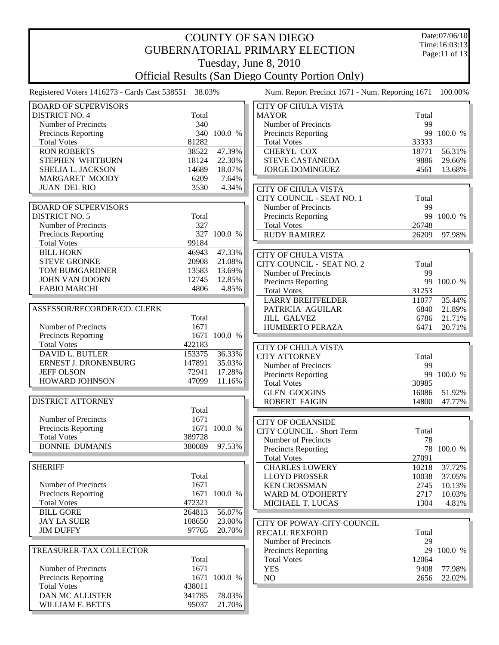| <b>COUNTY OF SAN DIEGO</b>                           |        |              |                                                         |       | Date:07/06/10                  |
|------------------------------------------------------|--------|--------------|---------------------------------------------------------|-------|--------------------------------|
| <b>GUBERNATORIAL PRIMARY ELECTION</b>                |        |              |                                                         |       | Time:16:03:13<br>Page:11 of 13 |
|                                                      |        |              | Tuesday, June 8, 2010                                   |       |                                |
|                                                      |        |              | <b>Official Results (San Diego County Portion Only)</b> |       |                                |
| Registered Voters 1416273 - Cards Cast 538551 38.03% |        |              | Num. Report Precinct 1671 - Num. Reporting 1671         |       | 100.00%                        |
| <b>BOARD OF SUPERVISORS</b>                          |        |              | <b>CITY OF CHULA VISTA</b>                              |       |                                |
| <b>DISTRICT NO. 4</b>                                | Total  |              | <b>MAYOR</b>                                            | Total |                                |
| Number of Precincts                                  | 340    |              | Number of Precincts                                     | 99    |                                |
| <b>Precincts Reporting</b>                           |        | 340 100.0 %  | Precincts Reporting                                     |       | 99 100.0 %                     |
| <b>Total Votes</b>                                   | 81282  |              | <b>Total Votes</b>                                      | 33333 |                                |
| <b>RON ROBERTS</b>                                   | 38522  | 47.39%       | CHERYL COX                                              | 18771 | 56.31%                         |
| STEPHEN WHITBURN                                     | 18124  | 22.30%       | <b>STEVE CASTANEDA</b>                                  | 9886  | 29.66%                         |
| SHELIA L. JACKSON                                    | 14689  | 18.07%       | <b>JORGE DOMINGUEZ</b>                                  | 4561  | 13.68%                         |
| MARGARET MOODY                                       | 6209   | 7.64%        |                                                         |       |                                |
| <b>JUAN DEL RIO</b>                                  | 3530   | 4.34%        | <b>CITY OF CHULA VISTA</b>                              |       |                                |
|                                                      |        |              | CITY COUNCIL - SEAT NO. 1                               | Total |                                |
| <b>BOARD OF SUPERVISORS</b>                          |        |              | Number of Precincts                                     | 99    |                                |
| <b>DISTRICT NO. 5</b>                                | Total  |              | Precincts Reporting                                     |       | 99 100.0 %                     |
| Number of Precincts                                  | 327    |              | <b>Total Votes</b>                                      | 26748 |                                |
| Precincts Reporting                                  |        | 327 100.0 %  | <b>RUDY RAMIREZ</b>                                     | 26209 | 97.98%                         |
| <b>Total Votes</b>                                   | 99184  |              |                                                         |       |                                |
| <b>BILL HORN</b>                                     | 46943  | 47.33%       | <b>CITY OF CHULA VISTA</b>                              |       |                                |
| <b>STEVE GRONKE</b>                                  | 20908  | 21.08%       |                                                         |       |                                |
| TOM BUMGARDNER                                       | 13583  | 13.69%       | CITY COUNCIL - SEAT NO. 2                               | Total |                                |
| <b>JOHN VAN DOORN</b>                                | 12745  | 12.85%       | Number of Precincts                                     | 99    |                                |
| <b>FABIO MARCHI</b>                                  | 4806   | 4.85%        | Precincts Reporting                                     |       | 99 100.0 %                     |
|                                                      |        |              | <b>Total Votes</b>                                      | 31253 |                                |
|                                                      |        |              | <b>LARRY BREITFELDER</b>                                | 11077 | 35.44%                         |
| ASSESSOR/RECORDER/CO. CLERK                          |        |              | PATRICIA AGUILAR                                        | 6840  | 21.89%                         |
|                                                      | Total  |              | <b>JILL GALVEZ</b>                                      | 6786  | 21.71%                         |
| Number of Precincts                                  | 1671   |              | HUMBERTO PERAZA                                         | 6471  | 20.71%                         |
| Precincts Reporting                                  |        | 1671 100.0 % |                                                         |       |                                |
| <b>Total Votes</b>                                   | 422183 |              | <b>CITY OF CHULA VISTA</b>                              |       |                                |
| DAVID L. BUTLER                                      | 153375 | 36.33%       | <b>CITY ATTORNEY</b>                                    | Total |                                |
| ERNEST J. DRONENBURG                                 | 147891 | 35.03%       | Number of Precincts                                     | 99    |                                |
| <b>JEFF OLSON</b>                                    | 72941  | 17.28%       | Precincts Reporting                                     | 99    | 100.0 %                        |
| <b>HOWARD JOHNSON</b>                                | 47099  | 11.16%       | <b>Total Votes</b>                                      | 30985 |                                |
|                                                      |        |              | <b>GLEN GOOGINS</b>                                     | 16086 | 51.92%                         |
| DISTRICT ATTORNEY                                    |        |              | <b>ROBERT FAIGIN</b>                                    |       | 14800 47.77%                   |
|                                                      | Total  |              |                                                         |       |                                |
| Number of Precincts                                  | 1671   |              | <b>CITY OF OCEANSIDE</b>                                |       |                                |
| <b>Precincts Reporting</b>                           |        | 1671 100.0 % | <b>CITY COUNCIL - Short Term</b>                        | Total |                                |
| <b>Total Votes</b>                                   | 389728 |              | Number of Precincts                                     | 78    |                                |
| <b>BONNIE DUMANIS</b>                                | 380089 | 97.53%       | <b>Precincts Reporting</b>                              | 78    | 100.0 %                        |
|                                                      |        |              | <b>Total Votes</b>                                      | 27091 |                                |
| <b>SHERIFF</b>                                       |        |              | <b>CHARLES LOWERY</b>                                   | 10218 | 37.72%                         |
|                                                      | Total  |              | <b>LLOYD PROSSER</b>                                    | 10038 | 37.05%                         |
| Number of Precincts                                  | 1671   |              | <b>KEN CROSSMAN</b>                                     | 2745  | 10.13%                         |
| <b>Precincts Reporting</b>                           |        | 1671 100.0 % | WARD M. O'DOHERTY                                       | 2717  | 10.03%                         |
| <b>Total Votes</b>                                   | 472321 |              | MICHAEL T. LUCAS                                        | 1304  | 4.81%                          |
| <b>BILL GORE</b>                                     | 264813 | 56.07%       |                                                         |       |                                |
| <b>JAY LA SUER</b>                                   | 108650 | 23.00%       |                                                         |       |                                |
| <b>JIM DUFFY</b>                                     | 97765  | 20.70%       | CITY OF POWAY-CITY COUNCIL                              |       |                                |
|                                                      |        |              | <b>RECALL REXFORD</b>                                   | Total |                                |
|                                                      |        |              | Number of Precincts                                     | 29    |                                |
| TREASURER-TAX COLLECTOR                              |        |              | Precincts Reporting                                     |       | 29 100.0 %                     |
|                                                      | Total  |              | <b>Total Votes</b>                                      | 12064 |                                |
| Number of Precincts                                  | 1671   |              | <b>YES</b>                                              | 9408  | 77.98%                         |
| <b>Precincts Reporting</b>                           |        | 1671 100.0 % | NO                                                      | 2656  | 22.02%                         |
| <b>Total Votes</b>                                   | 438011 |              |                                                         |       |                                |
| DAN MC ALLISTER                                      | 341785 | 78.03%       |                                                         |       |                                |
| WILLIAM F. BETTS                                     | 95037  | 21.70%       |                                                         |       |                                |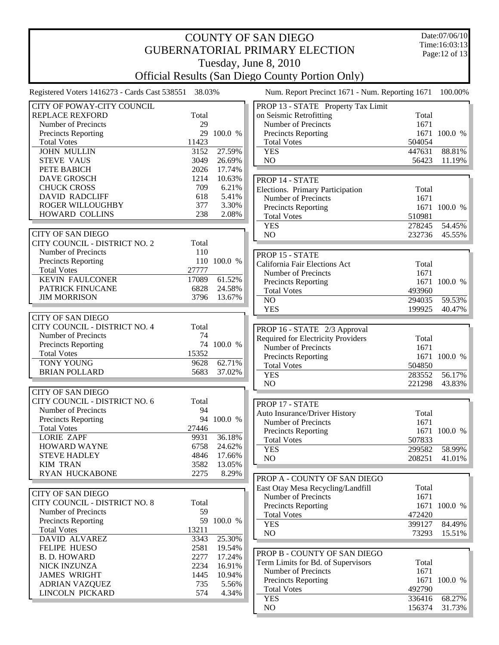## COUNTY OF SAN DIEGO GUBERNATORIAL PRIMARY ELECTION Tuesday, June 8, 2010

Date:07/06/10 Time:16:03:13 Page:12 of 13

Official Results (San Diego County Portion Only)

Registered Voters 1416273 - Cards Cast 538551 38.03% Num. Report Precinct 1671 - Num. Reporting 1671 100.00%

| CITY OF POWAY-CITY COUNCIL    |       |             |
|-------------------------------|-------|-------------|
| <b>REPLACE REXFORD</b>        | Total |             |
| Number of Precincts           | 29    |             |
|                               |       |             |
| <b>Precincts Reporting</b>    | 29    | 100.0 %     |
| <b>Total Votes</b>            | 11423 |             |
| <b>JOHN MULLIN</b>            | 3152  | 27.59%      |
| <b>STEVE VAUS</b>             | 3049  | 26.69%      |
| PETE BABICH                   | 2026  | 17.74%      |
| <b>DAVE GROSCH</b>            | 1214  | 10.63%      |
| <b>CHUCK CROSS</b>            | 709   | 6.21%       |
| <b>DAVID RADCLIFF</b>         | 618   | 5.41%       |
| <b>ROGER WILLOUGHBY</b>       | 377   | 3.30%       |
| HOWARD COLLINS                | 238   | 2.08%       |
|                               |       |             |
|                               |       |             |
| <b>CITY OF SAN DIEGO</b>      |       |             |
| CITY COUNCIL - DISTRICT NO. 2 | Total |             |
| Number of Precincts           | 110   |             |
| <b>Precincts Reporting</b>    | 110   | 100.0 %     |
| <b>Total Votes</b>            | 27777 |             |
| <b>KEVIN FAULCONER</b>        | 17089 | 61.52%      |
| PATRICK FINUCANE              | 6828  | 24.58%      |
| <b>JIM MORRISON</b>           |       | 3796 13.67% |
|                               |       |             |
| <b>CITY OF SAN DIEGO</b>      |       |             |
| CITY COUNCIL - DISTRICT NO. 4 |       |             |
|                               | Total |             |
| Number of Precincts           | 74    |             |
| <b>Precincts Reporting</b>    | 74    | 100.0 %     |
| <b>Total Votes</b>            | 15352 |             |
| <b>TONY YOUNG</b>             | 9628  | 62.71%      |
| <b>BRIAN POLLARD</b>          | 5683  | 37.02%      |
|                               |       |             |
| <b>CITY OF SAN DIEGO</b>      |       |             |
|                               |       |             |
| CITY COUNCIL - DISTRICT NO. 6 | Total |             |
| Number of Precincts           | 94    |             |
|                               | 94    |             |
| <b>Precincts Reporting</b>    |       | 100.0 %     |
| <b>Total Votes</b>            | 27446 |             |
| <b>LORIE ZAPF</b>             | 9931  | 36.18%      |
| <b>HOWARD WAYNE</b>           | 6758  | 24.62%      |
| <b>STEVE HADLEY</b>           | 4846  | 17.66%      |
| <b>KIM TRAN</b>               |       | 3582 13.05% |
| <b>RYAN HUCKABONE</b>         | 2275  | 8.29%       |
|                               |       |             |
| <b>CITY OF SAN DIEGO</b>      |       |             |
| CITY COUNCIL - DISTRICT NO. 8 | Total |             |
| Number of Precincts           | 59    |             |
| <b>Precincts Reporting</b>    | 59    | 100.0 %     |
| <b>Total Votes</b>            | 13211 |             |
|                               |       |             |
| DAVID ALVAREZ                 | 3343  | 25.30%      |
| <b>FELIPE HUESO</b>           | 2581  | 19.54%      |
| <b>B. D. HOWARD</b>           | 2277  | 17.24%      |
| <b>NICK INZUNZA</b>           | 2234  | 16.91%      |
| <b>JAMES WRIGHT</b>           | 1445  | 10.94%      |
| <b>ADRIAN VAZQUEZ</b>         | 735   | 5.56%       |
| LINCOLN PICKARD               | 574   | 4.34%       |

| PROP 13 - STATE Property Tax Limit        |        |              |
|-------------------------------------------|--------|--------------|
| on Seismic Retrofitting                   | Total  |              |
| Number of Precincts                       | 1671   |              |
| <b>Precincts Reporting</b>                | 1671   | 100.0 %      |
| <b>Total Votes</b>                        | 504054 |              |
| <b>YES</b>                                | 447631 | 88.81%       |
| N <sub>O</sub>                            | 56423  | 11.19%       |
|                                           |        |              |
| PROP 14 - STATE                           |        |              |
| <b>Elections. Primary Participation</b>   | Total  |              |
| Number of Precincts                       | 1671   |              |
| <b>Precincts Reporting</b>                | 1671   | 100.0 %      |
| <b>Total Votes</b>                        | 510981 |              |
| <b>YES</b>                                | 278245 | 54.45%       |
| N <sub>O</sub>                            | 232736 | 45.55%       |
|                                           |        |              |
| PROP 15 - STATE                           |        |              |
| California Fair Elections Act             | Total  |              |
| Number of Precincts                       | 1671   |              |
|                                           | 1671   | 100.0 %      |
| Precincts Reporting<br><b>Total Votes</b> | 493960 |              |
| N <sub>O</sub>                            | 294035 | 59.53%       |
|                                           |        |              |
| <b>YES</b>                                | 199925 | 40.47%       |
|                                           |        |              |
| PROP 16 - STATE 2/3 Approval              |        |              |
| <b>Required for Electricity Providers</b> | Total  |              |
| Number of Precincts                       | 1671   |              |
| <b>Precincts Reporting</b>                |        | 1671 100.0 % |
| <b>Total Votes</b>                        | 504850 |              |
| <b>YES</b>                                | 283552 | 56.17%       |
| N <sub>O</sub>                            | 221298 | 43.83%       |
|                                           |        |              |
| PROP 17 - STATE                           |        |              |
| <b>Auto Insurance/Driver History</b>      | Total  |              |
| Number of Precincts                       | 1671   |              |
| <b>Precincts Reporting</b>                | 1671   | 100.0 %      |
| <b>Total Votes</b>                        | 507833 |              |
| <b>YES</b>                                | 299582 | 58.99%       |
| N <sub>O</sub>                            | 208251 | 41.01%       |
|                                           |        |              |
| PROP A - COUNTY OF SAN DIEGO              |        |              |
| East Otay Mesa Recycling/Landfill         | Total  |              |
| Number of Precincts                       | 1671   |              |
| <b>Precincts Reporting</b>                | 1671   | 100.0 %      |
| <b>Total Votes</b>                        | 472420 |              |
| <b>YES</b>                                | 399127 | 84.49%       |
| N <sub>O</sub>                            | 73293  | 15.51%       |
|                                           |        |              |
| PROP B - COUNTY OF SAN DIEGO              |        |              |
|                                           |        |              |
| Term Limits for Bd. of Supervisors        | Total  |              |
| Number of Precincts                       | 1671   |              |
| <b>Precincts Reporting</b>                | 1671   | 100.0 %      |
| <b>Total Votes</b>                        | 492790 |              |
| <b>YES</b>                                | 336416 | 68.27%       |
| NO                                        | 156374 | 31.73%       |